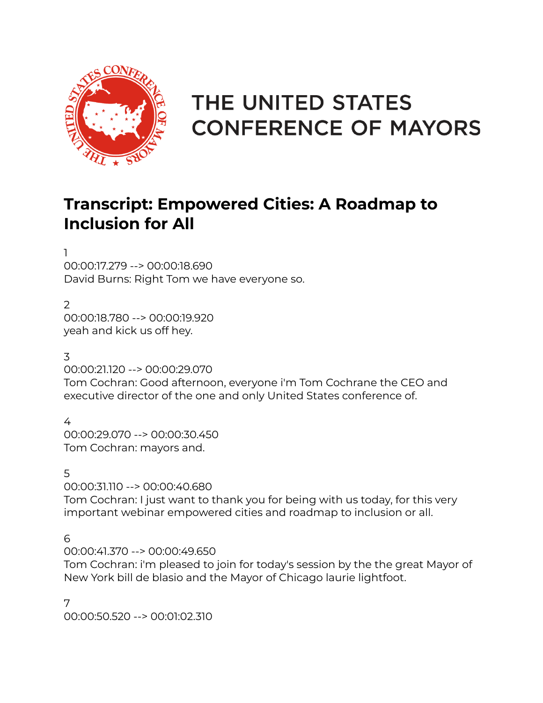

# THE UNITED STATES **CONFERENCE OF MAYORS**

# **Transcript: Empowered Cities: A Roadmap to Inclusion for All**

1

00:00:17.279 --> 00:00:18.690 David Burns: Right Tom we have everyone so.

2

00:00:18.780 --> 00:00:19.920 yeah and kick us off hey.

3

00:00:21.120 --> 00:00:29.070

Tom Cochran: Good afternoon, everyone i'm Tom Cochrane the CEO and executive director of the one and only United States conference of.

4

00:00:29.070 --> 00:00:30.450 Tom Cochran: mayors and.

5

00:00:31.110 --> 00:00:40.680 Tom Cochran: I just want to thank you for being with us today, for this very important webinar empowered cities and roadmap to inclusion or all.

6

00:00:41.370 --> 00:00:49.650

Tom Cochran: i'm pleased to join for today's session by the the great Mayor of New York bill de blasio and the Mayor of Chicago laurie lightfoot.

7 00:00:50.520 --> 00:01:02.310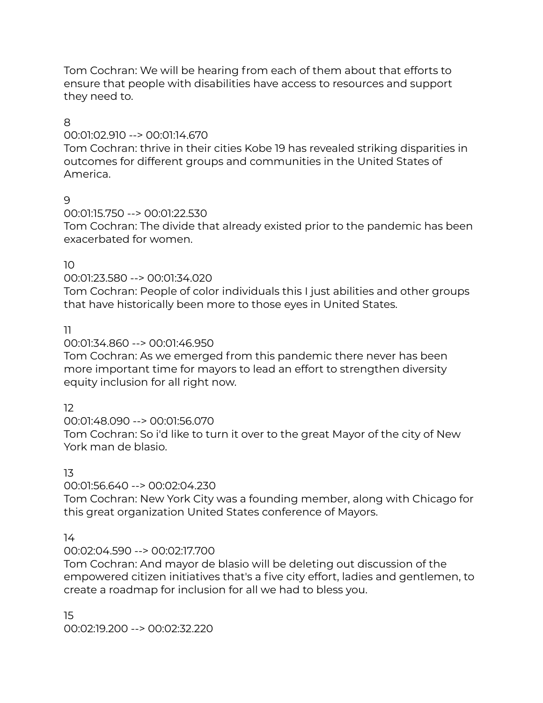Tom Cochran: We will be hearing from each of them about that efforts to ensure that people with disabilities have access to resources and support they need to.

# 8

# 00:01:02.910 --> 00:01:14.670

Tom Cochran: thrive in their cities Kobe 19 has revealed striking disparities in outcomes for different groups and communities in the United States of America.

# 9

00:01:15.750 --> 00:01:22.530

Tom Cochran: The divide that already existed prior to the pandemic has been exacerbated for women.

# 10

# 00:01:23.580 --> 00:01:34.020

Tom Cochran: People of color individuals this I just abilities and other groups that have historically been more to those eyes in United States.

# 11

# 00:01:34.860 --> 00:01:46.950

Tom Cochran: As we emerged from this pandemic there never has been more important time for mayors to lead an effort to strengthen diversity equity inclusion for all right now.

# 12

# 00:01:48.090 --> 00:01:56.070

Tom Cochran: So i'd like to turn it over to the great Mayor of the city of New York man de blasio.

# 13

# 00:01:56.640 --> 00:02:04.230

Tom Cochran: New York City was a founding member, along with Chicago for this great organization United States conference of Mayors.

# 14

# 00:02:04.590 --> 00:02:17.700

Tom Cochran: And mayor de blasio will be deleting out discussion of the empowered citizen initiatives that's a five city effort, ladies and gentlemen, to create a roadmap for inclusion for all we had to bless you.

15 00:02:19.200 --> 00:02:32.220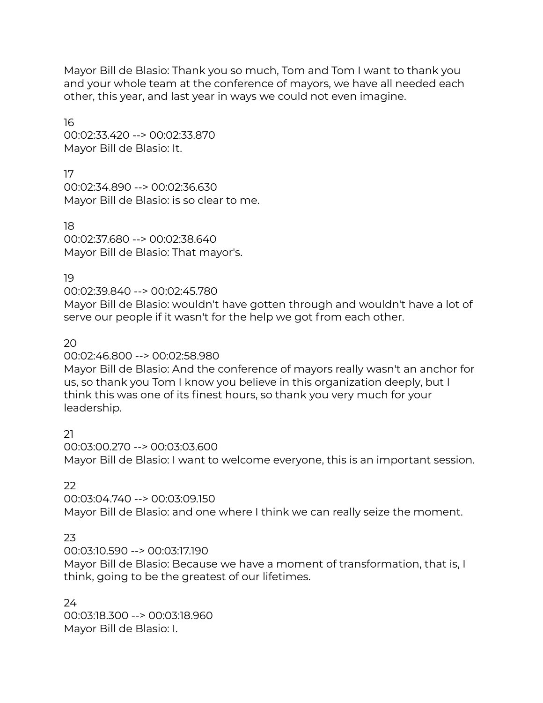Mayor Bill de Blasio: Thank you so much, Tom and Tom I want to thank you and your whole team at the conference of mayors, we have all needed each other, this year, and last year in ways we could not even imagine.

16 00:02:33.420 --> 00:02:33.870 Mayor Bill de Blasio: It.

17 00:02:34.890 --> 00:02:36.630 Mayor Bill de Blasio: is so clear to me.

18 00:02:37.680 --> 00:02:38.640 Mayor Bill de Blasio: That mayor's.

19

00:02:39.840 --> 00:02:45.780

Mayor Bill de Blasio: wouldn't have gotten through and wouldn't have a lot of serve our people if it wasn't for the help we got from each other.

20

00:02:46.800 --> 00:02:58.980

Mayor Bill de Blasio: And the conference of mayors really wasn't an anchor for us, so thank you Tom I know you believe in this organization deeply, but I think this was one of its finest hours, so thank you very much for your leadership.

21

00:03:00.270 --> 00:03:03.600 Mayor Bill de Blasio: I want to welcome everyone, this is an important session.

 $22$ 

00:03:04.740 --> 00:03:09.150 Mayor Bill de Blasio: and one where I think we can really seize the moment.

23

00:03:10.590 --> 00:03:17.190

Mayor Bill de Blasio: Because we have a moment of transformation, that is, I think, going to be the greatest of our lifetimes.

 $24$ 00:03:18.300 --> 00:03:18.960 Mayor Bill de Blasio: I.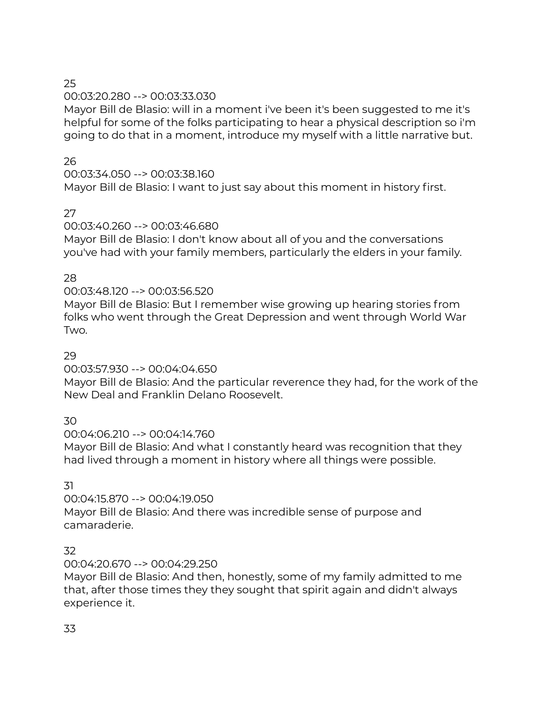# 00:03:20.280 --> 00:03:33.030

Mayor Bill de Blasio: will in a moment i've been it's been suggested to me it's helpful for some of the folks participating to hear a physical description so i'm going to do that in a moment, introduce my myself with a little narrative but.

# 26

# 00:03:34.050 --> 00:03:38.160

Mayor Bill de Blasio: I want to just say about this moment in history first.

# 27

# 00:03:40.260 --> 00:03:46.680

Mayor Bill de Blasio: I don't know about all of you and the conversations you've had with your family members, particularly the elders in your family.

# 28

# 00:03:48.120 --> 00:03:56.520

Mayor Bill de Blasio: But I remember wise growing up hearing stories from folks who went through the Great Depression and went through World War Two.

# 29

# 00:03:57.930 --> 00:04:04.650

Mayor Bill de Blasio: And the particular reverence they had, for the work of the New Deal and Franklin Delano Roosevelt.

# 30

00:04:06.210 --> 00:04:14.760

Mayor Bill de Blasio: And what I constantly heard was recognition that they had lived through a moment in history where all things were possible.

# 31

# 00:04:15.870 --> 00:04:19.050

Mayor Bill de Blasio: And there was incredible sense of purpose and camaraderie.

# 32

# 00:04:20.670 --> 00:04:29.250

Mayor Bill de Blasio: And then, honestly, some of my family admitted to me that, after those times they they sought that spirit again and didn't always experience it.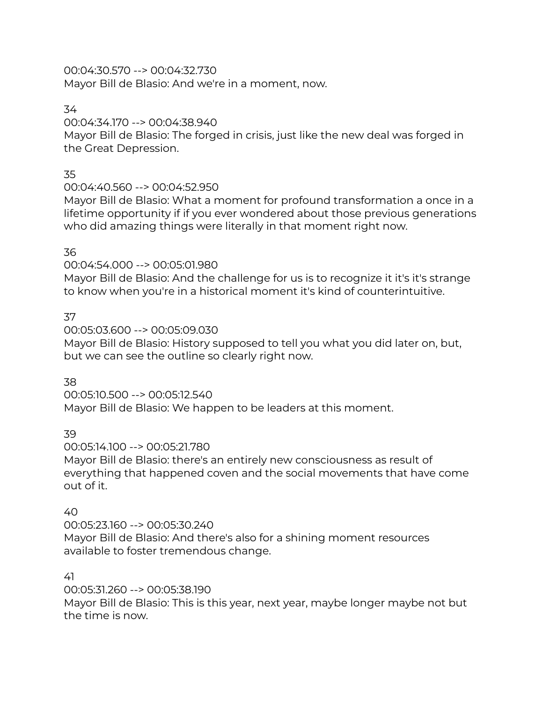00:04:30.570 --> 00:04:32.730 Mayor Bill de Blasio: And we're in a moment, now.

# 34

# 00:04:34.170 --> 00:04:38.940

Mayor Bill de Blasio: The forged in crisis, just like the new deal was forged in the Great Depression.

# 35

# 00:04:40.560 --> 00:04:52.950

Mayor Bill de Blasio: What a moment for profound transformation a once in a lifetime opportunity if if you ever wondered about those previous generations who did amazing things were literally in that moment right now.

# 36

# 00:04:54.000 --> 00:05:01.980

Mayor Bill de Blasio: And the challenge for us is to recognize it it's it's strange to know when you're in a historical moment it's kind of counterintuitive.

# 37

00:05:03.600 --> 00:05:09.030 Mayor Bill de Blasio: History supposed to tell you what you did later on, but, but we can see the outline so clearly right now.

# 38

00:05:10.500 --> 00:05:12.540 Mayor Bill de Blasio: We happen to be leaders at this moment.

# 39

00:05:14.100 --> 00:05:21.780

Mayor Bill de Blasio: there's an entirely new consciousness as result of everything that happened coven and the social movements that have come out of it.

# 40

00:05:23.160 --> 00:05:30.240 Mayor Bill de Blasio: And there's also for a shining moment resources available to foster tremendous change.

# 41

00:05:31.260 --> 00:05:38.190 Mayor Bill de Blasio: This is this year, next year, maybe longer maybe not but the time is now.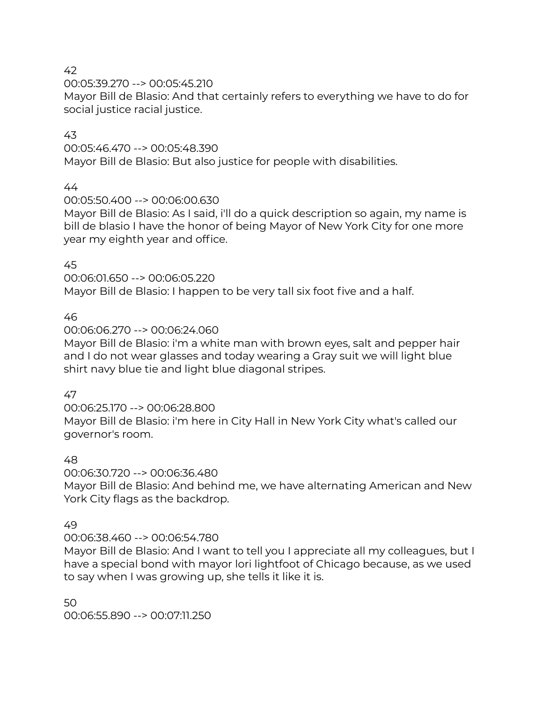00:05:39.270 --> 00:05:45.210

Mayor Bill de Blasio: And that certainly refers to everything we have to do for social justice racial justice.

# 43

00:05:46.470 --> 00:05:48.390

Mayor Bill de Blasio: But also justice for people with disabilities.

#### 44

00:05:50.400 --> 00:06:00.630

Mayor Bill de Blasio: As I said, i'll do a quick description so again, my name is bill de blasio I have the honor of being Mayor of New York City for one more year my eighth year and office.

#### 45

00:06:01.650 --> 00:06:05.220 Mayor Bill de Blasio: I happen to be very tall six foot five and a half.

# 46

00:06:06.270 --> 00:06:24.060

Mayor Bill de Blasio: i'm a white man with brown eyes, salt and pepper hair and I do not wear glasses and today wearing a Gray suit we will light blue shirt navy blue tie and light blue diagonal stripes.

#### 47

00:06:25.170 --> 00:06:28.800 Mayor Bill de Blasio: i'm here in City Hall in New York City what's called our governor's room.

#### 48

00:06:30.720 --> 00:06:36.480

Mayor Bill de Blasio: And behind me, we have alternating American and New York City flags as the backdrop.

#### 49

00:06:38.460 --> 00:06:54.780

Mayor Bill de Blasio: And I want to tell you I appreciate all my colleagues, but I have a special bond with mayor lori lightfoot of Chicago because, as we used to say when I was growing up, she tells it like it is.

50 00:06:55.890 --> 00:07:11.250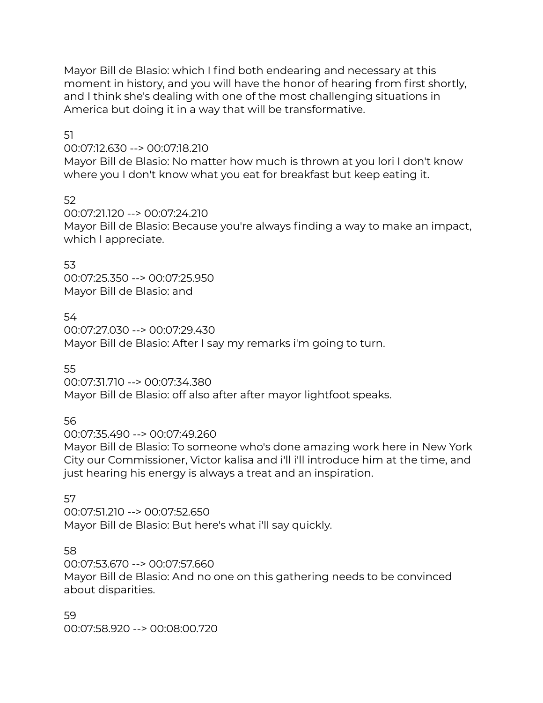Mayor Bill de Blasio: which I find both endearing and necessary at this moment in history, and you will have the honor of hearing from first shortly, and I think she's dealing with one of the most challenging situations in America but doing it in a way that will be transformative.

51

00:07:12.630 --> 00:07:18.210

Mayor Bill de Blasio: No matter how much is thrown at you lori I don't know where you I don't know what you eat for breakfast but keep eating it.

52

00:07:21.120 --> 00:07:24.210 Mayor Bill de Blasio: Because you're always finding a way to make an impact, which I appreciate.

53 00:07:25.350 --> 00:07:25.950 Mayor Bill de Blasio: and

54

00:07:27.030 --> 00:07:29.430 Mayor Bill de Blasio: After I say my remarks i'm going to turn.

55

00:07:31.710 --> 00:07:34.380 Mayor Bill de Blasio: off also after after mayor lightfoot speaks.

56

00:07:35.490 --> 00:07:49.260

Mayor Bill de Blasio: To someone who's done amazing work here in New York City our Commissioner, Victor kalisa and i'll i'll introduce him at the time, and just hearing his energy is always a treat and an inspiration.

57

00:07:51.210 --> 00:07:52.650 Mayor Bill de Blasio: But here's what i'll say quickly.

58

00:07:53.670 --> 00:07:57.660

Mayor Bill de Blasio: And no one on this gathering needs to be convinced about disparities.

59 00:07:58.920 --> 00:08:00.720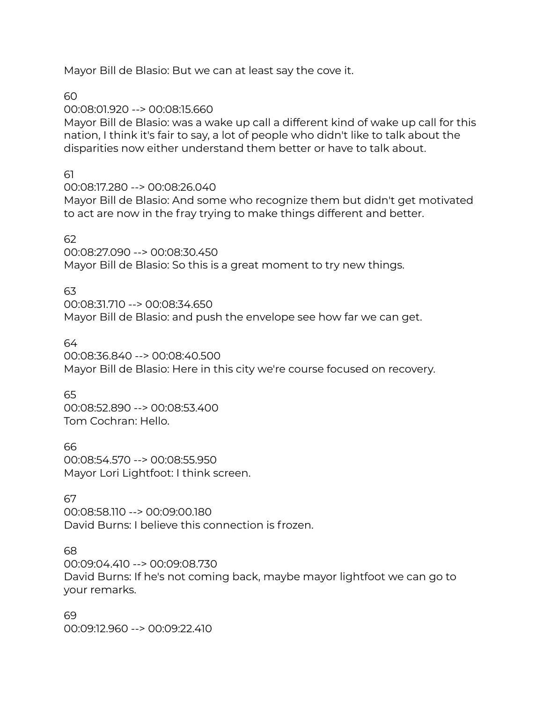Mayor Bill de Blasio: But we can at least say the cove it.

60

00:08:01.920 --> 00:08:15.660

Mayor Bill de Blasio: was a wake up call a different kind of wake up call for this nation, I think it's fair to say, a lot of people who didn't like to talk about the disparities now either understand them better or have to talk about.

61

00:08:17.280 --> 00:08:26.040

Mayor Bill de Blasio: And some who recognize them but didn't get motivated to act are now in the fray trying to make things different and better.

62

00:08:27.090 --> 00:08:30.450 Mayor Bill de Blasio: So this is a great moment to try new things.

63

00:08:31.710 --> 00:08:34.650 Mayor Bill de Blasio: and push the envelope see how far we can get.

64

00:08:36.840 --> 00:08:40.500 Mayor Bill de Blasio: Here in this city we're course focused on recovery.

65

00:08:52.890 --> 00:08:53.400 Tom Cochran: Hello.

66 00:08:54.570 --> 00:08:55.950 Mayor Lori Lightfoot: I think screen.

67

00:08:58.110 --> 00:09:00.180 David Burns: I believe this connection is frozen.

68

00:09:04.410 --> 00:09:08.730 David Burns: If he's not coming back, maybe mayor lightfoot we can go to your remarks.

69 00:09:12.960 --> 00:09:22.410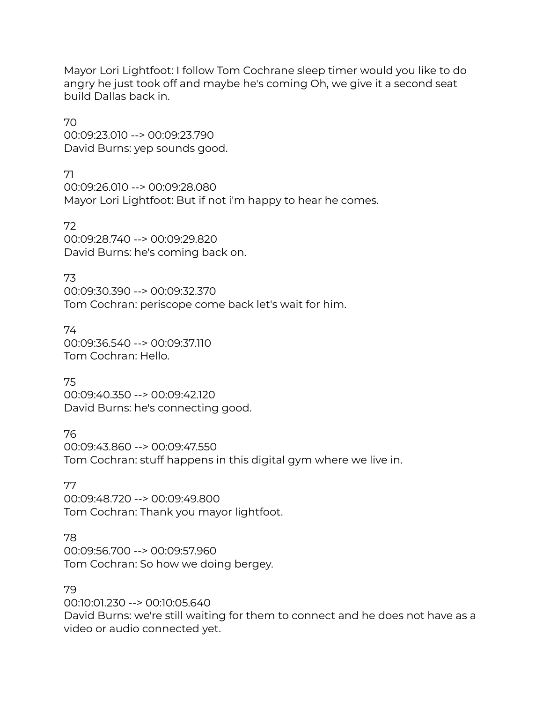Mayor Lori Lightfoot: I follow Tom Cochrane sleep timer would you like to do angry he just took off and maybe he's coming Oh, we give it a second seat build Dallas back in.

70 00:09:23.010 --> 00:09:23.790 David Burns: yep sounds good.

71 00:09:26.010 --> 00:09:28.080 Mayor Lori Lightfoot: But if not i'm happy to hear he comes.

72 00:09:28.740 --> 00:09:29.820 David Burns: he's coming back on.

73 00:09:30.390 --> 00:09:32.370 Tom Cochran: periscope come back let's wait for him.

74 00:09:36.540 --> 00:09:37.110 Tom Cochran: Hello.

75 00:09:40.350 --> 00:09:42.120 David Burns: he's connecting good.

76 00:09:43.860 --> 00:09:47.550 Tom Cochran: stuff happens in this digital gym where we live in.

77 00:09:48.720 --> 00:09:49.800 Tom Cochran: Thank you mayor lightfoot.

78

00:09:56.700 --> 00:09:57.960 Tom Cochran: So how we doing bergey.

79

00:10:01.230 --> 00:10:05.640 David Burns: we're still waiting for them to connect and he does not have as a video or audio connected yet.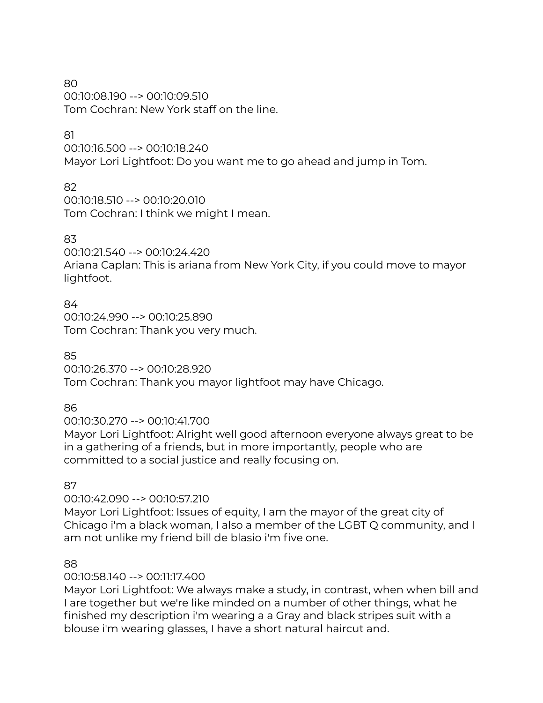80 00:10:08.190 --> 00:10:09.510 Tom Cochran: New York staff on the line.

# 81

00:10:16.500 --> 00:10:18.240 Mayor Lori Lightfoot: Do you want me to go ahead and jump in Tom.

# 82

00:10:18.510 --> 00:10:20.010 Tom Cochran: I think we might I mean.

# 83

00:10:21.540 --> 00:10:24.420 Ariana Caplan: This is ariana from New York City, if you could move to mayor lightfoot.

84 00:10:24.990 --> 00:10:25.890 Tom Cochran: Thank you very much.

85

00:10:26.370 --> 00:10:28.920 Tom Cochran: Thank you mayor lightfoot may have Chicago.

86

00:10:30.270 --> 00:10:41.700

Mayor Lori Lightfoot: Alright well good afternoon everyone always great to be in a gathering of a friends, but in more importantly, people who are committed to a social justice and really focusing on.

87

# 00:10:42.090 --> 00:10:57.210

Mayor Lori Lightfoot: Issues of equity, I am the mayor of the great city of Chicago i'm a black woman, I also a member of the LGBT Q community, and I am not unlike my friend bill de blasio i'm five one.

# 88

# 00:10:58.140 --> 00:11:17.400

Mayor Lori Lightfoot: We always make a study, in contrast, when when bill and I are together but we're like minded on a number of other things, what he finished my description i'm wearing a a Gray and black stripes suit with a blouse i'm wearing glasses, I have a short natural haircut and.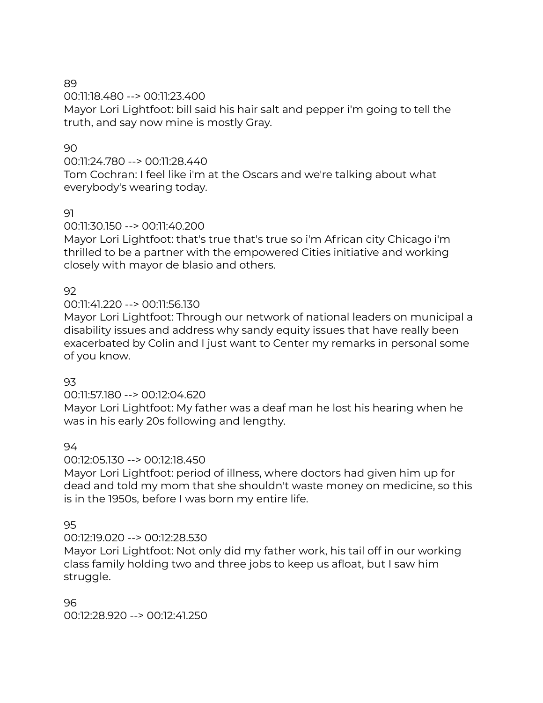00:11:18.480 --> 00:11:23.400

Mayor Lori Lightfoot: bill said his hair salt and pepper i'm going to tell the truth, and say now mine is mostly Gray.

# 90

00:11:24.780 --> 00:11:28.440

Tom Cochran: I feel like i'm at the Oscars and we're talking about what everybody's wearing today.

# 91

00:11:30.150 --> 00:11:40.200

Mayor Lori Lightfoot: that's true that's true so i'm African city Chicago i'm thrilled to be a partner with the empowered Cities initiative and working closely with mayor de blasio and others.

# 92

00:11:41.220 --> 00:11:56.130

Mayor Lori Lightfoot: Through our network of national leaders on municipal a disability issues and address why sandy equity issues that have really been exacerbated by Colin and I just want to Center my remarks in personal some of you know.

# 93

00:11:57.180 --> 00:12:04.620

Mayor Lori Lightfoot: My father was a deaf man he lost his hearing when he was in his early 20s following and lengthy.

# 94

00:12:05.130 --> 00:12:18.450

Mayor Lori Lightfoot: period of illness, where doctors had given him up for dead and told my mom that she shouldn't waste money on medicine, so this is in the 1950s, before I was born my entire life.

# 95

00:12:19.020 --> 00:12:28.530

Mayor Lori Lightfoot: Not only did my father work, his tail off in our working class family holding two and three jobs to keep us afloat, but I saw him struggle.

# 96

00:12:28.920 --> 00:12:41.250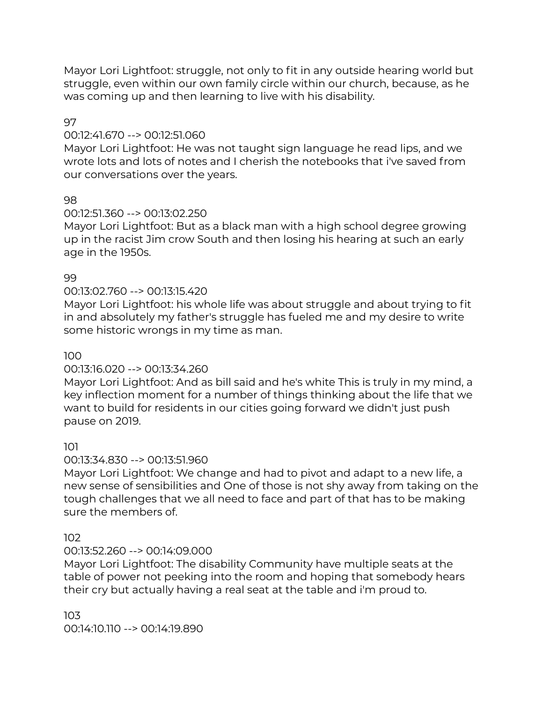Mayor Lori Lightfoot: struggle, not only to fit in any outside hearing world but struggle, even within our own family circle within our church, because, as he was coming up and then learning to live with his disability.

97

# 00:12:41.670 --> 00:12:51.060

Mayor Lori Lightfoot: He was not taught sign language he read lips, and we wrote lots and lots of notes and I cherish the notebooks that i've saved from our conversations over the years.

# 98

# 00:12:51.360 --> 00:13:02.250

Mayor Lori Lightfoot: But as a black man with a high school degree growing up in the racist Jim crow South and then losing his hearing at such an early age in the 1950s.

# 99

# 00:13:02.760 --> 00:13:15.420

Mayor Lori Lightfoot: his whole life was about struggle and about trying to fit in and absolutely my father's struggle has fueled me and my desire to write some historic wrongs in my time as man.

# 100

# 00:13:16.020 --> 00:13:34.260

Mayor Lori Lightfoot: And as bill said and he's white This is truly in my mind, a key inflection moment for a number of things thinking about the life that we want to build for residents in our cities going forward we didn't just push pause on 2019.

# 101

# 00:13:34.830 --> 00:13:51.960

Mayor Lori Lightfoot: We change and had to pivot and adapt to a new life, a new sense of sensibilities and One of those is not shy away from taking on the tough challenges that we all need to face and part of that has to be making sure the members of.

# 102

# 00:13:52.260 --> 00:14:09.000

Mayor Lori Lightfoot: The disability Community have multiple seats at the table of power not peeking into the room and hoping that somebody hears their cry but actually having a real seat at the table and i'm proud to.

103

00:14:10.110 --> 00:14:19.890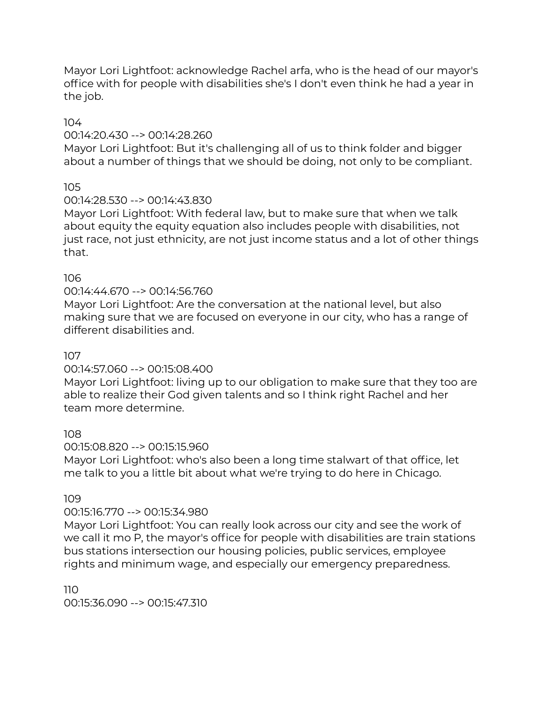Mayor Lori Lightfoot: acknowledge Rachel arfa, who is the head of our mayor's office with for people with disabilities she's I don't even think he had a year in the job.

104

# 00:14:20.430 --> 00:14:28.260

Mayor Lori Lightfoot: But it's challenging all of us to think folder and bigger about a number of things that we should be doing, not only to be compliant.

105

# 00:14:28.530 --> 00:14:43.830

Mayor Lori Lightfoot: With federal law, but to make sure that when we talk about equity the equity equation also includes people with disabilities, not just race, not just ethnicity, are not just income status and a lot of other things that.

# 106

# 00:14:44.670 --> 00:14:56.760

Mayor Lori Lightfoot: Are the conversation at the national level, but also making sure that we are focused on everyone in our city, who has a range of different disabilities and.

# 107

# 00:14:57.060 --> 00:15:08.400

Mayor Lori Lightfoot: living up to our obligation to make sure that they too are able to realize their God given talents and so I think right Rachel and her team more determine.

# 108

# 00:15:08.820 --> 00:15:15.960

Mayor Lori Lightfoot: who's also been a long time stalwart of that office, let me talk to you a little bit about what we're trying to do here in Chicago.

# 109

# 00:15:16.770 --> 00:15:34.980

Mayor Lori Lightfoot: You can really look across our city and see the work of we call it mo P, the mayor's office for people with disabilities are train stations bus stations intersection our housing policies, public services, employee rights and minimum wage, and especially our emergency preparedness.

110 00:15:36.090 --> 00:15:47.310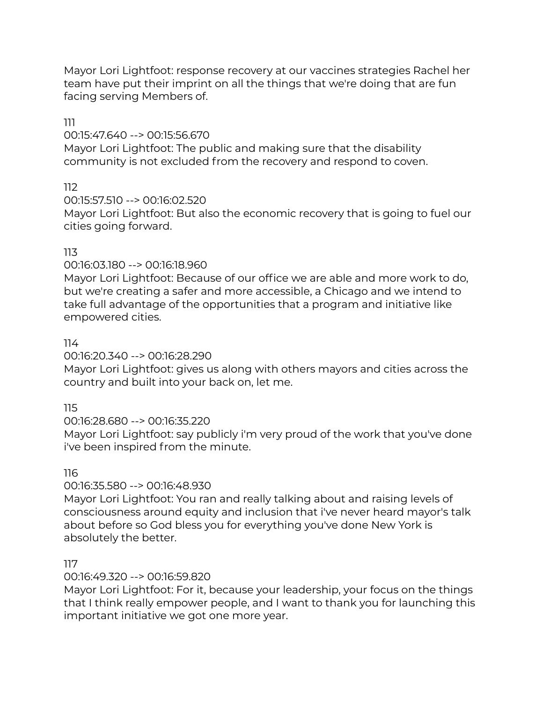Mayor Lori Lightfoot: response recovery at our vaccines strategies Rachel her team have put their imprint on all the things that we're doing that are fun facing serving Members of.

111

00:15:47.640 --> 00:15:56.670

Mayor Lori Lightfoot: The public and making sure that the disability community is not excluded from the recovery and respond to coven.

112

00:15:57.510 --> 00:16:02.520

Mayor Lori Lightfoot: But also the economic recovery that is going to fuel our cities going forward.

# 113

00:16:03.180 --> 00:16:18.960

Mayor Lori Lightfoot: Because of our office we are able and more work to do, but we're creating a safer and more accessible, a Chicago and we intend to take full advantage of the opportunities that a program and initiative like empowered cities.

# 114

00:16:20.340 --> 00:16:28.290

Mayor Lori Lightfoot: gives us along with others mayors and cities across the country and built into your back on, let me.

115

00:16:28.680 --> 00:16:35.220

Mayor Lori Lightfoot: say publicly i'm very proud of the work that you've done i've been inspired from the minute.

116

00:16:35.580 --> 00:16:48.930

Mayor Lori Lightfoot: You ran and really talking about and raising levels of consciousness around equity and inclusion that i've never heard mayor's talk about before so God bless you for everything you've done New York is absolutely the better.

117

00:16:49.320 --> 00:16:59.820

Mayor Lori Lightfoot: For it, because your leadership, your focus on the things that I think really empower people, and I want to thank you for launching this important initiative we got one more year.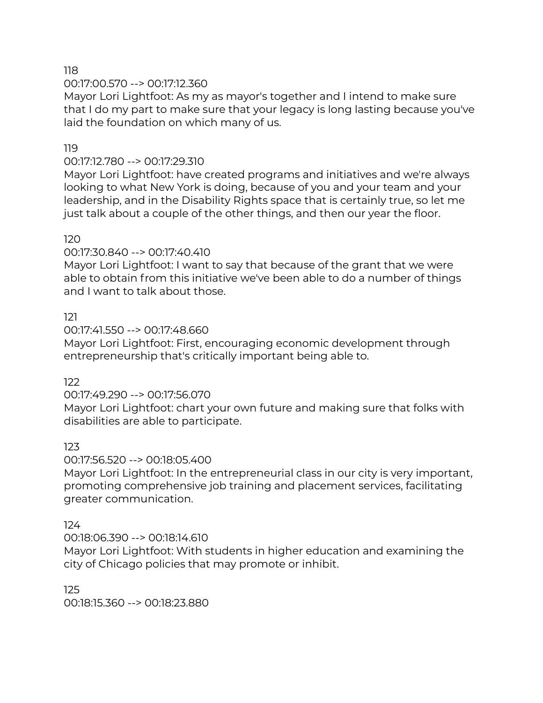00:17:00.570 --> 00:17:12.360

Mayor Lori Lightfoot: As my as mayor's together and I intend to make sure that I do my part to make sure that your legacy is long lasting because you've laid the foundation on which many of us.

# 119

#### 00:17:12.780 --> 00:17:29.310

Mayor Lori Lightfoot: have created programs and initiatives and we're always looking to what New York is doing, because of you and your team and your leadership, and in the Disability Rights space that is certainly true, so let me just talk about a couple of the other things, and then our year the floor.

#### 120

00:17:30.840 --> 00:17:40.410

Mayor Lori Lightfoot: I want to say that because of the grant that we were able to obtain from this initiative we've been able to do a number of things and I want to talk about those.

# 121

00:17:41.550 --> 00:17:48.660

Mayor Lori Lightfoot: First, encouraging economic development through entrepreneurship that's critically important being able to.

122

00:17:49.290 --> 00:17:56.070

Mayor Lori Lightfoot: chart your own future and making sure that folks with disabilities are able to participate.

# 123

#### 00:17:56.520 --> 00:18:05.400

Mayor Lori Lightfoot: In the entrepreneurial class in our city is very important, promoting comprehensive job training and placement services, facilitating greater communication.

#### 124

00:18:06.390 --> 00:18:14.610

Mayor Lori Lightfoot: With students in higher education and examining the city of Chicago policies that may promote or inhibit.

#### 125 00:18:15.360 --> 00:18:23.880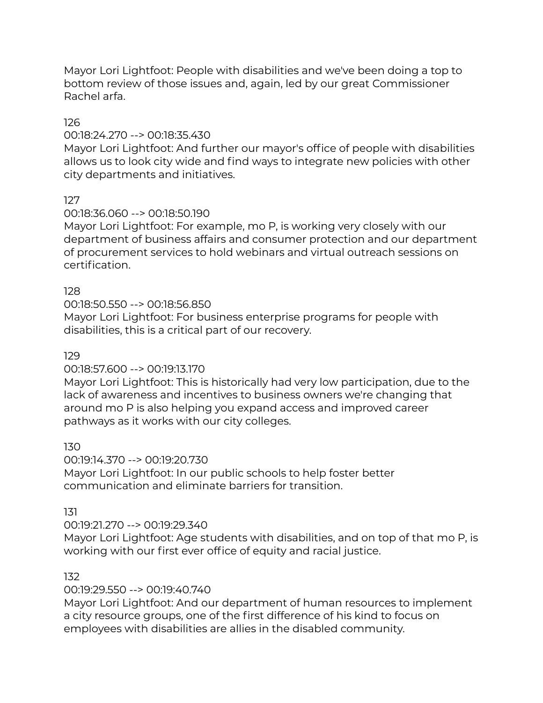Mayor Lori Lightfoot: People with disabilities and we've been doing a top to bottom review of those issues and, again, led by our great Commissioner Rachel arfa.

# 126

# 00:18:24.270 --> 00:18:35.430

Mayor Lori Lightfoot: And further our mayor's office of people with disabilities allows us to look city wide and find ways to integrate new policies with other city departments and initiatives.

127

# 00:18:36.060 --> 00:18:50.190

Mayor Lori Lightfoot: For example, mo P, is working very closely with our department of business affairs and consumer protection and our department of procurement services to hold webinars and virtual outreach sessions on certification.

# 128

00:18:50.550 --> 00:18:56.850

Mayor Lori Lightfoot: For business enterprise programs for people with disabilities, this is a critical part of our recovery.

# 129

# 00:18:57.600 --> 00:19:13.170

Mayor Lori Lightfoot: This is historically had very low participation, due to the lack of awareness and incentives to business owners we're changing that around mo P is also helping you expand access and improved career pathways as it works with our city colleges.

# 130

00:19:14.370 --> 00:19:20.730 Mayor Lori Lightfoot: In our public schools to help foster better communication and eliminate barriers for transition.

# 131

# 00:19:21.270 --> 00:19:29.340

Mayor Lori Lightfoot: Age students with disabilities, and on top of that mo P, is working with our first ever office of equity and racial justice.

# 132

# 00:19:29.550 --> 00:19:40.740

Mayor Lori Lightfoot: And our department of human resources to implement a city resource groups, one of the first difference of his kind to focus on employees with disabilities are allies in the disabled community.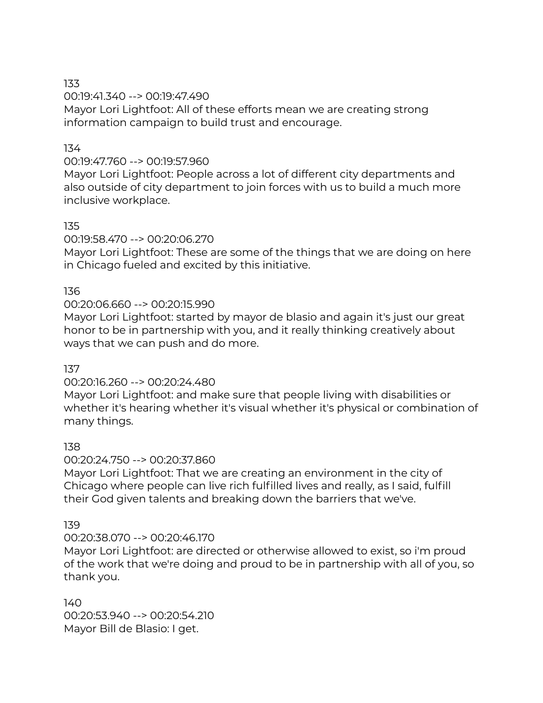00:19:41.340 --> 00:19:47.490 Mayor Lori Lightfoot: All of these efforts mean we are creating strong information campaign to build trust and encourage.

# 134

# 00:19:47.760 --> 00:19:57.960

Mayor Lori Lightfoot: People across a lot of different city departments and also outside of city department to join forces with us to build a much more inclusive workplace.

# 135

00:19:58.470 --> 00:20:06.270

Mayor Lori Lightfoot: These are some of the things that we are doing on here in Chicago fueled and excited by this initiative.

# 136

# 00:20:06.660 --> 00:20:15.990

Mayor Lori Lightfoot: started by mayor de blasio and again it's just our great honor to be in partnership with you, and it really thinking creatively about ways that we can push and do more.

# 137

# 00:20:16.260 --> 00:20:24.480

Mayor Lori Lightfoot: and make sure that people living with disabilities or whether it's hearing whether it's visual whether it's physical or combination of many things.

# 138

# 00:20:24.750 --> 00:20:37.860

Mayor Lori Lightfoot: That we are creating an environment in the city of Chicago where people can live rich fulfilled lives and really, as I said, fulfill their God given talents and breaking down the barriers that we've.

# 139

# 00:20:38.070 --> 00:20:46.170

Mayor Lori Lightfoot: are directed or otherwise allowed to exist, so i'm proud of the work that we're doing and proud to be in partnership with all of you, so thank you.

140 00:20:53.940 --> 00:20:54.210 Mayor Bill de Blasio: I get.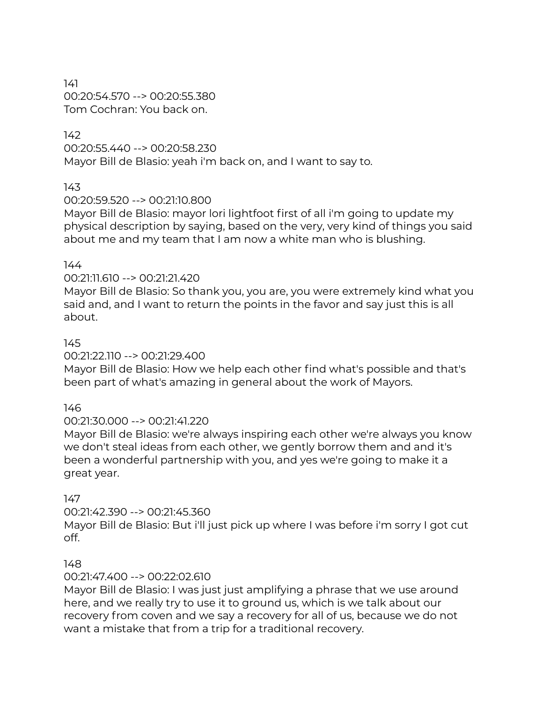141 00:20:54.570 --> 00:20:55.380 Tom Cochran: You back on.

# 142

00:20:55.440 --> 00:20:58.230 Mayor Bill de Blasio: yeah i'm back on, and I want to say to.

# 143

00:20:59.520 --> 00:21:10.800

Mayor Bill de Blasio: mayor lori lightfoot first of all i'm going to update my physical description by saying, based on the very, very kind of things you said about me and my team that I am now a white man who is blushing.

# 144

00:21:11.610 --> 00:21:21.420

Mayor Bill de Blasio: So thank you, you are, you were extremely kind what you said and, and I want to return the points in the favor and say just this is all about.

# 145

00:21:22.110 --> 00:21:29.400

Mayor Bill de Blasio: How we help each other find what's possible and that's been part of what's amazing in general about the work of Mayors.

# 146

# 00:21:30.000 --> 00:21:41.220

Mayor Bill de Blasio: we're always inspiring each other we're always you know we don't steal ideas from each other, we gently borrow them and and it's been a wonderful partnership with you, and yes we're going to make it a great year.

# 147

00:21:42.390 --> 00:21:45.360

Mayor Bill de Blasio: But i'll just pick up where I was before i'm sorry I got cut off.

# 148

# 00:21:47.400 --> 00:22:02.610

Mayor Bill de Blasio: I was just just amplifying a phrase that we use around here, and we really try to use it to ground us, which is we talk about our recovery from coven and we say a recovery for all of us, because we do not want a mistake that from a trip for a traditional recovery.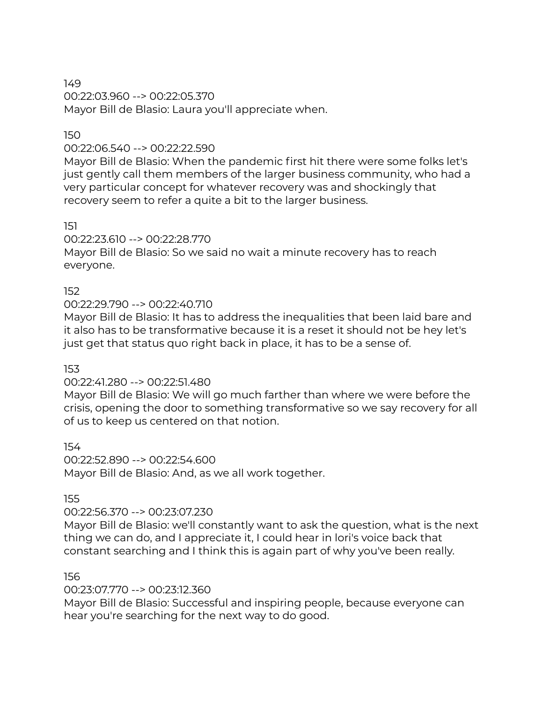00:22:03.960 --> 00:22:05.370 Mayor Bill de Blasio: Laura you'll appreciate when.

# 150

#### 00:22:06.540 --> 00:22:22.590

Mayor Bill de Blasio: When the pandemic first hit there were some folks let's just gently call them members of the larger business community, who had a very particular concept for whatever recovery was and shockingly that recovery seem to refer a quite a bit to the larger business.

151

00:22:23.610 --> 00:22:28.770

Mayor Bill de Blasio: So we said no wait a minute recovery has to reach everyone.

# 152

#### 00:22:29.790 --> 00:22:40.710

Mayor Bill de Blasio: It has to address the inequalities that been laid bare and it also has to be transformative because it is a reset it should not be hey let's just get that status quo right back in place, it has to be a sense of.

#### 153

# 00:22:41.280 --> 00:22:51.480

Mayor Bill de Blasio: We will go much farther than where we were before the crisis, opening the door to something transformative so we say recovery for all of us to keep us centered on that notion.

154

00:22:52.890 --> 00:22:54.600 Mayor Bill de Blasio: And, as we all work together.

155

# 00:22:56.370 --> 00:23:07.230

Mayor Bill de Blasio: we'll constantly want to ask the question, what is the next thing we can do, and I appreciate it, I could hear in lori's voice back that constant searching and I think this is again part of why you've been really.

#### 156

# 00:23:07.770 --> 00:23:12.360

Mayor Bill de Blasio: Successful and inspiring people, because everyone can hear you're searching for the next way to do good.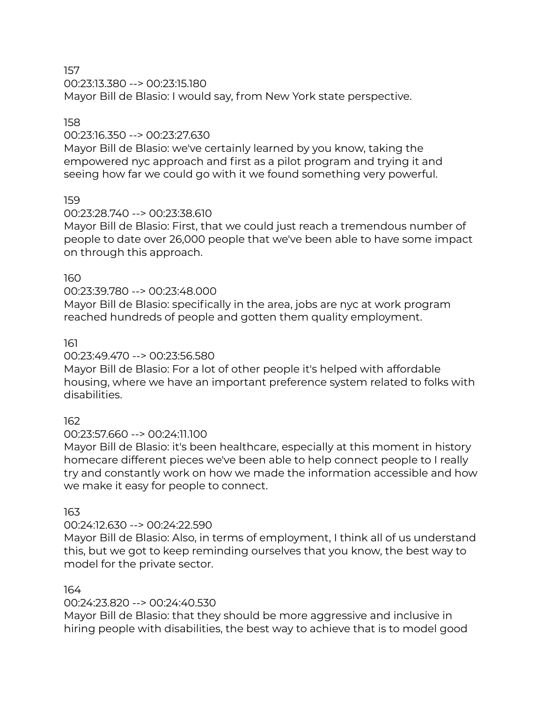00:23:13.380 --> 00:23:15.180

Mayor Bill de Blasio: I would say, from New York state perspective.

# 158

#### 00:23:16.350 --> 00:23:27.630

Mayor Bill de Blasio: we've certainly learned by you know, taking the empowered nyc approach and first as a pilot program and trying it and seeing how far we could go with it we found something very powerful.

# 159

# 00:23:28.740 --> 00:23:38.610

Mayor Bill de Blasio: First, that we could just reach a tremendous number of people to date over 26,000 people that we've been able to have some impact on through this approach.

#### 160

# 00:23:39.780 --> 00:23:48.000

Mayor Bill de Blasio: specifically in the area, jobs are nyc at work program reached hundreds of people and gotten them quality employment.

#### 161

# 00:23:49.470 --> 00:23:56.580

Mayor Bill de Blasio: For a lot of other people it's helped with affordable housing, where we have an important preference system related to folks with disabilities.

# 162

# 00:23:57.660 --> 00:24:11.100

Mayor Bill de Blasio: it's been healthcare, especially at this moment in history homecare different pieces we've been able to help connect people to I really try and constantly work on how we made the information accessible and how we make it easy for people to connect.

# 163

# 00:24:12.630 --> 00:24:22.590

Mayor Bill de Blasio: Also, in terms of employment, I think all of us understand this, but we got to keep reminding ourselves that you know, the best way to model for the private sector.

# 164

# 00:24:23.820 --> 00:24:40.530

Mayor Bill de Blasio: that they should be more aggressive and inclusive in hiring people with disabilities, the best way to achieve that is to model good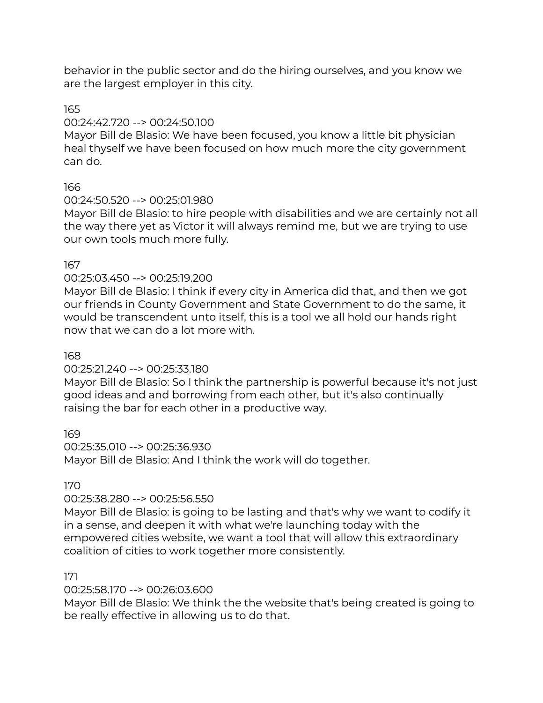behavior in the public sector and do the hiring ourselves, and you know we are the largest employer in this city.

# 165

# 00:24:42.720 --> 00:24:50.100

Mayor Bill de Blasio: We have been focused, you know a little bit physician heal thyself we have been focused on how much more the city government can do.

# 166

# 00:24:50.520 --> 00:25:01.980

Mayor Bill de Blasio: to hire people with disabilities and we are certainly not all the way there yet as Victor it will always remind me, but we are trying to use our own tools much more fully.

# 167

# 00:25:03.450 --> 00:25:19.200

Mayor Bill de Blasio: I think if every city in America did that, and then we got our friends in County Government and State Government to do the same, it would be transcendent unto itself, this is a tool we all hold our hands right now that we can do a lot more with.

# 168

# 00:25:21.240 --> 00:25:33.180

Mayor Bill de Blasio: So I think the partnership is powerful because it's not just good ideas and and borrowing from each other, but it's also continually raising the bar for each other in a productive way.

169

# 00:25:35.010 --> 00:25:36.930

Mayor Bill de Blasio: And I think the work will do together.

# 170

# 00:25:38.280 --> 00:25:56.550

Mayor Bill de Blasio: is going to be lasting and that's why we want to codify it in a sense, and deepen it with what we're launching today with the empowered cities website, we want a tool that will allow this extraordinary coalition of cities to work together more consistently.

# 171

# 00:25:58.170 --> 00:26:03.600

Mayor Bill de Blasio: We think the the website that's being created is going to be really effective in allowing us to do that.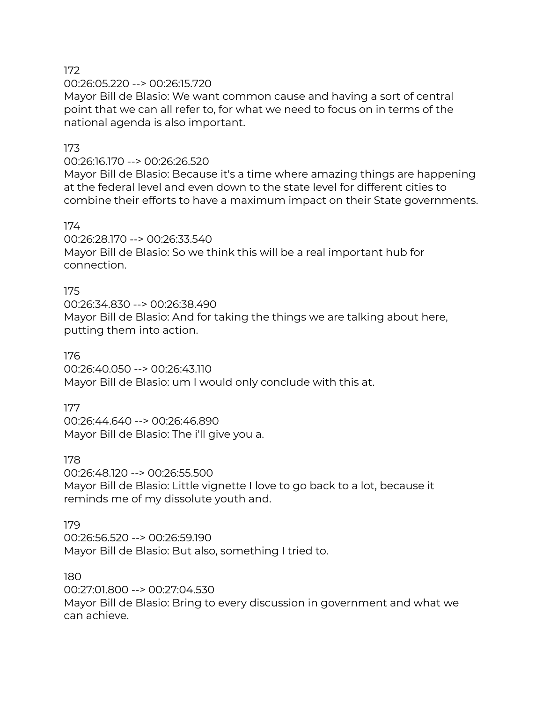00:26:05.220 --> 00:26:15.720

Mayor Bill de Blasio: We want common cause and having a sort of central point that we can all refer to, for what we need to focus on in terms of the national agenda is also important.

# 173

#### 00:26:16.170 --> 00:26:26.520

Mayor Bill de Blasio: Because it's a time where amazing things are happening at the federal level and even down to the state level for different cities to combine their efforts to have a maximum impact on their State governments.

#### 174

00:26:28.170 --> 00:26:33.540 Mayor Bill de Blasio: So we think this will be a real important hub for connection.

# 175

00:26:34.830 --> 00:26:38.490 Mayor Bill de Blasio: And for taking the things we are talking about here, putting them into action.

#### 176

00:26:40.050 --> 00:26:43.110 Mayor Bill de Blasio: um I would only conclude with this at.

# 177

00:26:44.640 --> 00:26:46.890 Mayor Bill de Blasio: The i'll give you a.

#### 178

00:26:48.120 --> 00:26:55.500 Mayor Bill de Blasio: Little vignette I love to go back to a lot, because it reminds me of my dissolute youth and.

# 179

00:26:56.520 --> 00:26:59.190 Mayor Bill de Blasio: But also, something I tried to.

#### 180

00:27:01.800 --> 00:27:04.530 Mayor Bill de Blasio: Bring to every discussion in government and what we can achieve.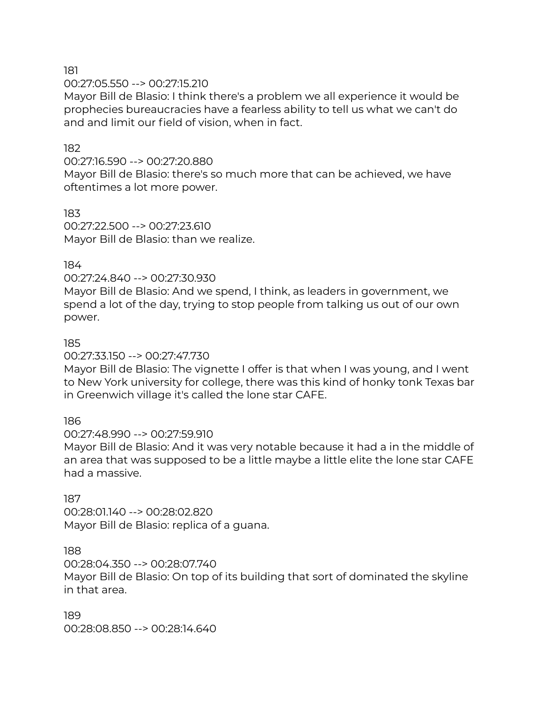00:27:05.550 --> 00:27:15.210

Mayor Bill de Blasio: I think there's a problem we all experience it would be prophecies bureaucracies have a fearless ability to tell us what we can't do and and limit our field of vision, when in fact.

#### 182

00:27:16.590 --> 00:27:20.880

Mayor Bill de Blasio: there's so much more that can be achieved, we have oftentimes a lot more power.

183 00:27:22.500 --> 00:27:23.610 Mayor Bill de Blasio: than we realize.

#### 184

00:27:24.840 --> 00:27:30.930

Mayor Bill de Blasio: And we spend, I think, as leaders in government, we spend a lot of the day, trying to stop people from talking us out of our own power.

#### 185

00:27:33.150 --> 00:27:47.730

Mayor Bill de Blasio: The vignette I offer is that when I was young, and I went to New York university for college, there was this kind of honky tonk Texas bar in Greenwich village it's called the lone star CAFE.

# 186

00:27:48.990 --> 00:27:59.910

Mayor Bill de Blasio: And it was very notable because it had a in the middle of an area that was supposed to be a little maybe a little elite the lone star CAFE had a massive.

#### 187

00:28:01.140 --> 00:28:02.820 Mayor Bill de Blasio: replica of a guana.

#### 188

00:28:04.350 --> 00:28:07.740

Mayor Bill de Blasio: On top of its building that sort of dominated the skyline in that area.

189 00:28:08.850 --> 00:28:14.640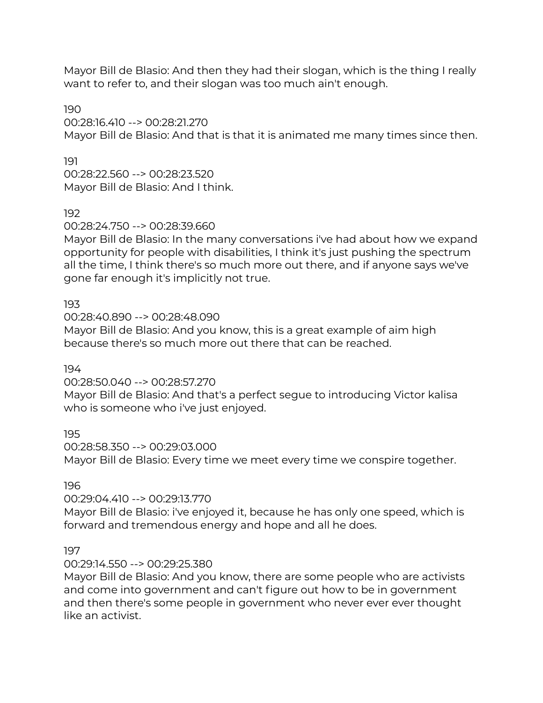Mayor Bill de Blasio: And then they had their slogan, which is the thing I really want to refer to, and their slogan was too much ain't enough.

190

00:28:16.410 --> 00:28:21.270 Mayor Bill de Blasio: And that is that it is animated me many times since then.

191 00:28:22.560 --> 00:28:23.520 Mayor Bill de Blasio: And I think.

192

00:28:24.750 --> 00:28:39.660

Mayor Bill de Blasio: In the many conversations i've had about how we expand opportunity for people with disabilities, I think it's just pushing the spectrum all the time, I think there's so much more out there, and if anyone says we've gone far enough it's implicitly not true.

193

00:28:40.890 --> 00:28:48.090

Mayor Bill de Blasio: And you know, this is a great example of aim high because there's so much more out there that can be reached.

194

00:28:50.040 --> 00:28:57.270

Mayor Bill de Blasio: And that's a perfect segue to introducing Victor kalisa who is someone who i've just enjoyed.

195

00:28:58.350 --> 00:29:03.000 Mayor Bill de Blasio: Every time we meet every time we conspire together.

196

00:29:04.410 --> 00:29:13.770

Mayor Bill de Blasio: i've enjoyed it, because he has only one speed, which is forward and tremendous energy and hope and all he does.

197

00:29:14.550 --> 00:29:25.380

Mayor Bill de Blasio: And you know, there are some people who are activists and come into government and can't figure out how to be in government and then there's some people in government who never ever ever thought like an activist.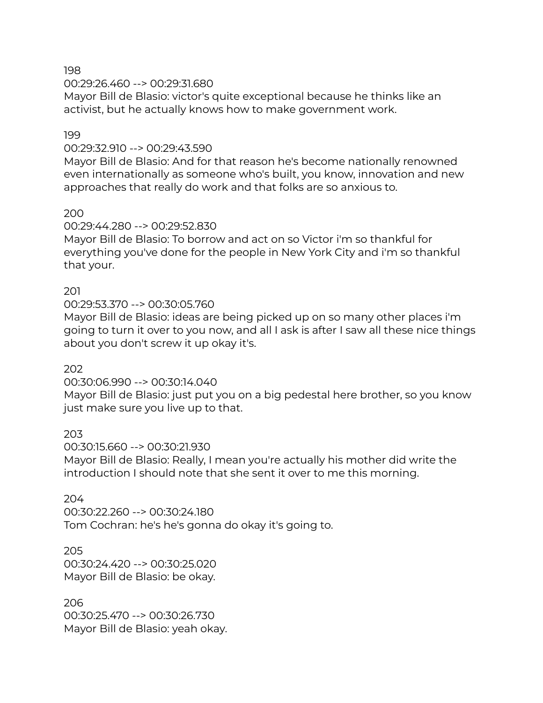00:29:26.460 --> 00:29:31.680

Mayor Bill de Blasio: victor's quite exceptional because he thinks like an activist, but he actually knows how to make government work.

# 199

# 00:29:32.910 --> 00:29:43.590

Mayor Bill de Blasio: And for that reason he's become nationally renowned even internationally as someone who's built, you know, innovation and new approaches that really do work and that folks are so anxious to.

200

# 00:29:44.280 --> 00:29:52.830

Mayor Bill de Blasio: To borrow and act on so Victor i'm so thankful for everything you've done for the people in New York City and i'm so thankful that your.

# 201

# 00:29:53.370 --> 00:30:05.760

Mayor Bill de Blasio: ideas are being picked up on so many other places i'm going to turn it over to you now, and all I ask is after I saw all these nice things about you don't screw it up okay it's.

# 202

# 00:30:06.990 --> 00:30:14.040

Mayor Bill de Blasio: just put you on a big pedestal here brother, so you know just make sure you live up to that.

# 203

00:30:15.660 --> 00:30:21.930 Mayor Bill de Blasio: Really, I mean you're actually his mother did write the introduction I should note that she sent it over to me this morning.

# 204

00:30:22.260 --> 00:30:24.180 Tom Cochran: he's he's gonna do okay it's going to.

# 205

00:30:24.420 --> 00:30:25.020 Mayor Bill de Blasio: be okay.

# 206

00:30:25.470 --> 00:30:26.730 Mayor Bill de Blasio: yeah okay.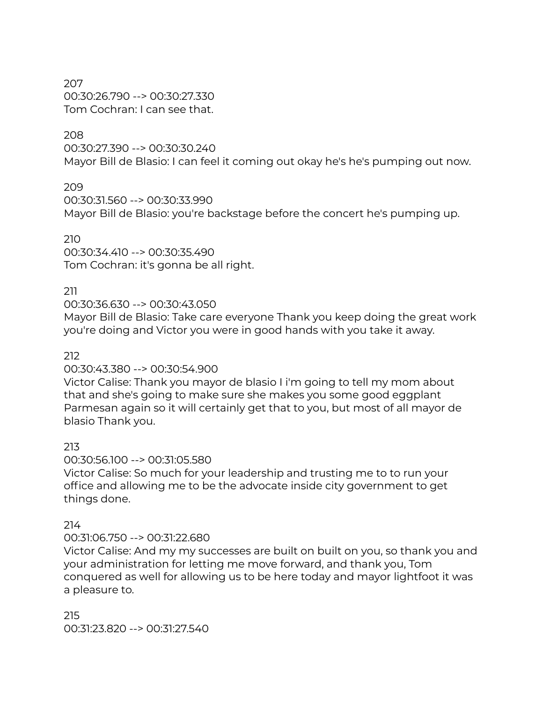207 00:30:26.790 --> 00:30:27.330 Tom Cochran: I can see that.

#### 208

00:30:27.390 --> 00:30:30.240 Mayor Bill de Blasio: I can feel it coming out okay he's he's pumping out now.

209

00:30:31.560 --> 00:30:33.990 Mayor Bill de Blasio: you're backstage before the concert he's pumping up.

210

00:30:34.410 --> 00:30:35.490 Tom Cochran: it's gonna be all right.

# 211

00:30:36.630 --> 00:30:43.050

Mayor Bill de Blasio: Take care everyone Thank you keep doing the great work you're doing and Victor you were in good hands with you take it away.

212

#### 00:30:43.380 --> 00:30:54.900

Victor Calise: Thank you mayor de blasio I i'm going to tell my mom about that and she's going to make sure she makes you some good eggplant Parmesan again so it will certainly get that to you, but most of all mayor de blasio Thank you.

# 213

# 00:30:56.100 --> 00:31:05.580

Victor Calise: So much for your leadership and trusting me to to run your office and allowing me to be the advocate inside city government to get things done.

# 214

# 00:31:06.750 --> 00:31:22.680

Victor Calise: And my my successes are built on built on you, so thank you and your administration for letting me move forward, and thank you, Tom conquered as well for allowing us to be here today and mayor lightfoot it was a pleasure to.

215 00:31:23.820 --> 00:31:27.540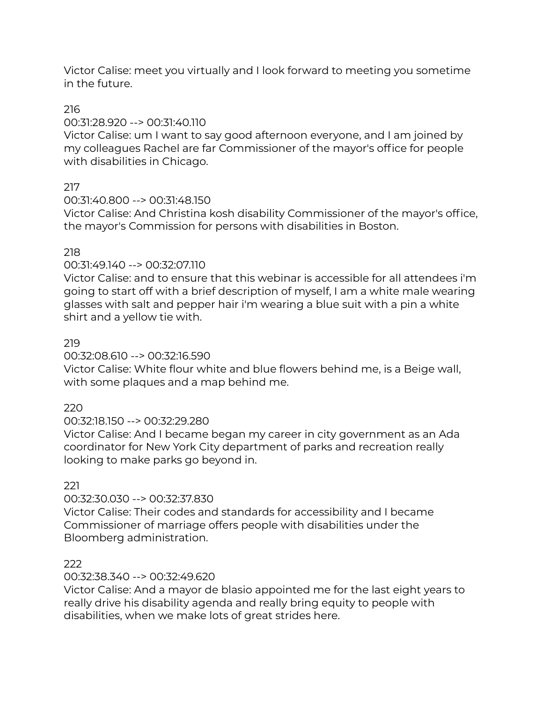Victor Calise: meet you virtually and I look forward to meeting you sometime in the future.

# 216

# 00:31:28.920 --> 00:31:40.110

Victor Calise: um I want to say good afternoon everyone, and I am joined by my colleagues Rachel are far Commissioner of the mayor's office for people with disabilities in Chicago.

# 217

# 00:31:40.800 --> 00:31:48.150

Victor Calise: And Christina kosh disability Commissioner of the mayor's office, the mayor's Commission for persons with disabilities in Boston.

# 218

# 00:31:49.140 --> 00:32:07.110

Victor Calise: and to ensure that this webinar is accessible for all attendees i'm going to start off with a brief description of myself, I am a white male wearing glasses with salt and pepper hair i'm wearing a blue suit with a pin a white shirt and a yellow tie with.

# 219

# 00:32:08.610 --> 00:32:16.590

Victor Calise: White flour white and blue flowers behind me, is a Beige wall, with some plaques and a map behind me.

# 220

# 00:32:18.150 --> 00:32:29.280

Victor Calise: And I became began my career in city government as an Ada coordinator for New York City department of parks and recreation really looking to make parks go beyond in.

# 221

# 00:32:30.030 --> 00:32:37.830

Victor Calise: Their codes and standards for accessibility and I became Commissioner of marriage offers people with disabilities under the Bloomberg administration.

# 222

# 00:32:38.340 --> 00:32:49.620

Victor Calise: And a mayor de blasio appointed me for the last eight years to really drive his disability agenda and really bring equity to people with disabilities, when we make lots of great strides here.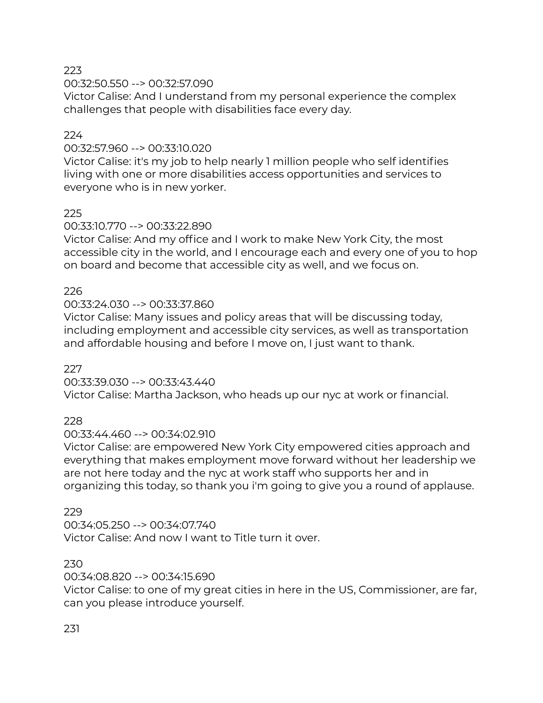00:32:50.550 --> 00:32:57.090

Victor Calise: And I understand from my personal experience the complex challenges that people with disabilities face every day.

# 224

# 00:32:57.960 --> 00:33:10.020

Victor Calise: it's my job to help nearly 1 million people who self identifies living with one or more disabilities access opportunities and services to everyone who is in new yorker.

# 225

# 00:33:10.770 --> 00:33:22.890

Victor Calise: And my office and I work to make New York City, the most accessible city in the world, and I encourage each and every one of you to hop on board and become that accessible city as well, and we focus on.

# 226

# 00:33:24.030 --> 00:33:37.860

Victor Calise: Many issues and policy areas that will be discussing today, including employment and accessible city services, as well as transportation and affordable housing and before I move on, I just want to thank.

# 227

00:33:39.030 --> 00:33:43.440 Victor Calise: Martha Jackson, who heads up our nyc at work or financial.

# 228

# 00:33:44.460 --> 00:34:02.910

Victor Calise: are empowered New York City empowered cities approach and everything that makes employment move forward without her leadership we are not here today and the nyc at work staff who supports her and in organizing this today, so thank you i'm going to give you a round of applause.

# 229

00:34:05.250 --> 00:34:07.740 Victor Calise: And now I want to Title turn it over.

# 230

# 00:34:08.820 --> 00:34:15.690

Victor Calise: to one of my great cities in here in the US, Commissioner, are far, can you please introduce yourself.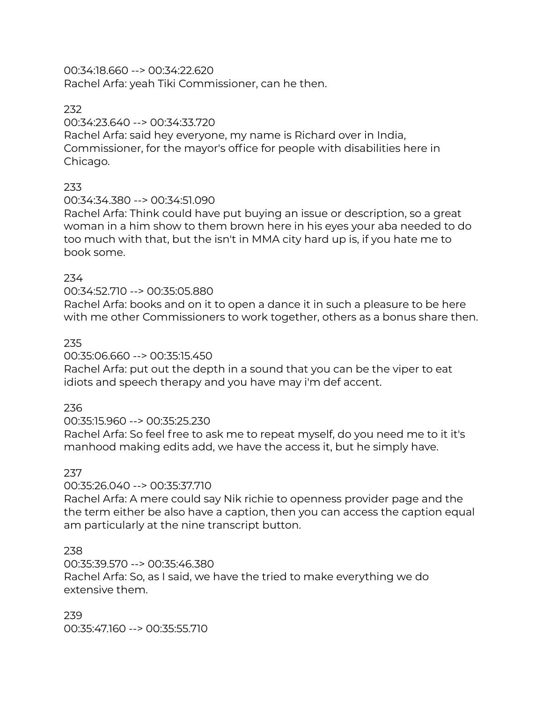00:34:18.660 --> 00:34:22.620 Rachel Arfa: yeah Tiki Commissioner, can he then.

# 232

# 00:34:23.640 --> 00:34:33.720

Rachel Arfa: said hey everyone, my name is Richard over in India, Commissioner, for the mayor's office for people with disabilities here in Chicago.

# 233

# 00:34:34.380 --> 00:34:51.090

Rachel Arfa: Think could have put buying an issue or description, so a great woman in a him show to them brown here in his eyes your aba needed to do too much with that, but the isn't in MMA city hard up is, if you hate me to book some.

# 234

# 00:34:52.710 --> 00:35:05.880

Rachel Arfa: books and on it to open a dance it in such a pleasure to be here with me other Commissioners to work together, others as a bonus share then.

# 235

# 00:35:06.660 --> 00:35:15.450

Rachel Arfa: put out the depth in a sound that you can be the viper to eat idiots and speech therapy and you have may i'm def accent.

# 236

# 00:35:15.960 --> 00:35:25.230

Rachel Arfa: So feel free to ask me to repeat myself, do you need me to it it's manhood making edits add, we have the access it, but he simply have.

# 237

# 00:35:26.040 --> 00:35:37.710

Rachel Arfa: A mere could say Nik richie to openness provider page and the the term either be also have a caption, then you can access the caption equal am particularly at the nine transcript button.

# 238

# 00:35:39.570 --> 00:35:46.380

Rachel Arfa: So, as I said, we have the tried to make everything we do extensive them.

239 00:35:47.160 --> 00:35:55.710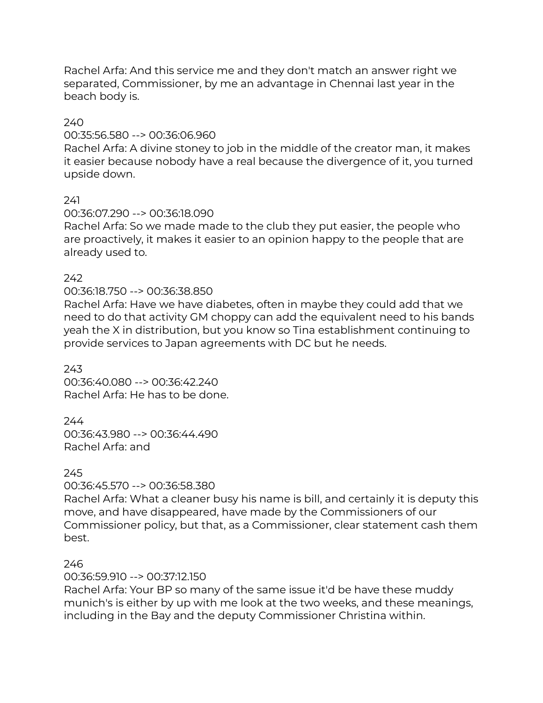Rachel Arfa: And this service me and they don't match an answer right we separated, Commissioner, by me an advantage in Chennai last year in the beach body is.

#### 240

#### 00:35:56.580 --> 00:36:06.960

Rachel Arfa: A divine stoney to job in the middle of the creator man, it makes it easier because nobody have a real because the divergence of it, you turned upside down.

#### 241

#### 00:36:07.290 --> 00:36:18.090

Rachel Arfa: So we made made to the club they put easier, the people who are proactively, it makes it easier to an opinion happy to the people that are already used to.

#### 242

# 00:36:18.750 --> 00:36:38.850

Rachel Arfa: Have we have diabetes, often in maybe they could add that we need to do that activity GM choppy can add the equivalent need to his bands yeah the X in distribution, but you know so Tina establishment continuing to provide services to Japan agreements with DC but he needs.

243 00:36:40.080 --> 00:36:42.240 Rachel Arfa: He has to be done.

# 244

00:36:43.980 --> 00:36:44.490 Rachel Arfa: and

# 245

# 00:36:45.570 --> 00:36:58.380

Rachel Arfa: What a cleaner busy his name is bill, and certainly it is deputy this move, and have disappeared, have made by the Commissioners of our Commissioner policy, but that, as a Commissioner, clear statement cash them best.

# 246

# 00:36:59.910 --> 00:37:12.150

Rachel Arfa: Your BP so many of the same issue it'd be have these muddy munich's is either by up with me look at the two weeks, and these meanings, including in the Bay and the deputy Commissioner Christina within.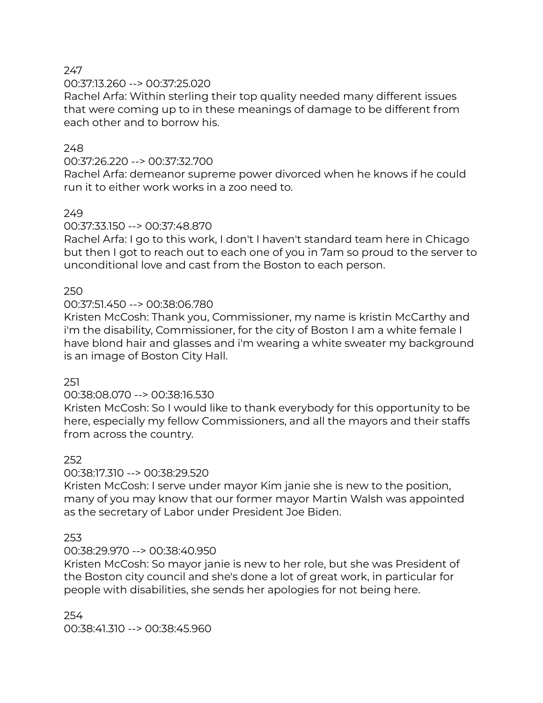# 00:37:13.260 --> 00:37:25.020

Rachel Arfa: Within sterling their top quality needed many different issues that were coming up to in these meanings of damage to be different from each other and to borrow his.

#### 248

#### 00:37:26.220 --> 00:37:32.700

Rachel Arfa: demeanor supreme power divorced when he knows if he could run it to either work works in a zoo need to.

# 249

# 00:37:33.150 --> 00:37:48.870

Rachel Arfa: I go to this work, I don't I haven't standard team here in Chicago but then I got to reach out to each one of you in 7am so proud to the server to unconditional love and cast from the Boston to each person.

#### 250

#### 00:37:51.450 --> 00:38:06.780

Kristen McCosh: Thank you, Commissioner, my name is kristin McCarthy and i'm the disability, Commissioner, for the city of Boston I am a white female I have blond hair and glasses and i'm wearing a white sweater my background is an image of Boston City Hall.

#### 251

# 00:38:08.070 --> 00:38:16.530

Kristen McCosh: So I would like to thank everybody for this opportunity to be here, especially my fellow Commissioners, and all the mayors and their staffs from across the country.

#### 252

# 00:38:17.310 --> 00:38:29.520

Kristen McCosh: I serve under mayor Kim janie she is new to the position, many of you may know that our former mayor Martin Walsh was appointed as the secretary of Labor under President Joe Biden.

# 253

# 00:38:29.970 --> 00:38:40.950

Kristen McCosh: So mayor janie is new to her role, but she was President of the Boston city council and she's done a lot of great work, in particular for people with disabilities, she sends her apologies for not being here.

254 00:38:41.310 --> 00:38:45.960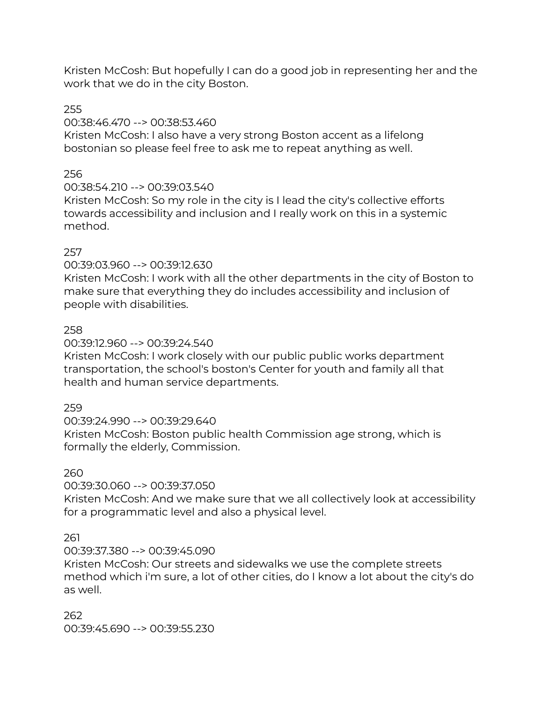Kristen McCosh: But hopefully I can do a good job in representing her and the work that we do in the city Boston.

# 255

# 00:38:46.470 --> 00:38:53.460

Kristen McCosh: I also have a very strong Boston accent as a lifelong bostonian so please feel free to ask me to repeat anything as well.

# 256

# 00:38:54.210 --> 00:39:03.540

Kristen McCosh: So my role in the city is I lead the city's collective efforts towards accessibility and inclusion and I really work on this in a systemic method.

# 257

# 00:39:03.960 --> 00:39:12.630

Kristen McCosh: I work with all the other departments in the city of Boston to make sure that everything they do includes accessibility and inclusion of people with disabilities.

# 258

# 00:39:12.960 --> 00:39:24.540

Kristen McCosh: I work closely with our public public works department transportation, the school's boston's Center for youth and family all that health and human service departments.

# 259

# 00:39:24.990 --> 00:39:29.640

Kristen McCosh: Boston public health Commission age strong, which is formally the elderly, Commission.

# 260

# 00:39:30.060 --> 00:39:37.050

Kristen McCosh: And we make sure that we all collectively look at accessibility for a programmatic level and also a physical level.

# 261

# 00:39:37.380 --> 00:39:45.090

Kristen McCosh: Our streets and sidewalks we use the complete streets method which i'm sure, a lot of other cities, do I know a lot about the city's do as well.

262 00:39:45.690 --> 00:39:55.230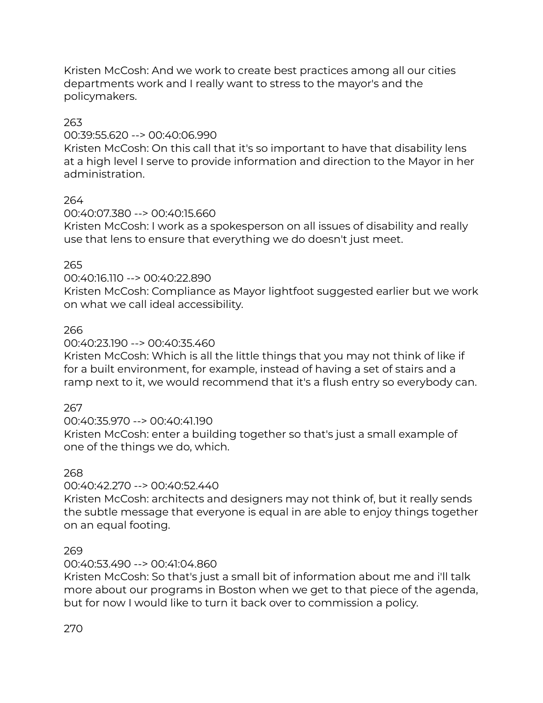Kristen McCosh: And we work to create best practices among all our cities departments work and I really want to stress to the mayor's and the policymakers.

# 263

# 00:39:55.620 --> 00:40:06.990

Kristen McCosh: On this call that it's so important to have that disability lens at a high level I serve to provide information and direction to the Mayor in her administration.

# 264

# 00:40:07.380 --> 00:40:15.660

Kristen McCosh: I work as a spokesperson on all issues of disability and really use that lens to ensure that everything we do doesn't just meet.

# 265

# 00:40:16.110 --> 00:40:22.890

Kristen McCosh: Compliance as Mayor lightfoot suggested earlier but we work on what we call ideal accessibility.

# 266

# 00:40:23.190 --> 00:40:35.460

Kristen McCosh: Which is all the little things that you may not think of like if for a built environment, for example, instead of having a set of stairs and a ramp next to it, we would recommend that it's a flush entry so everybody can.

# 267

# 00:40:35.970 --> 00:40:41.190

Kristen McCosh: enter a building together so that's just a small example of one of the things we do, which.

# 268

# 00:40:42.270 --> 00:40:52.440

Kristen McCosh: architects and designers may not think of, but it really sends the subtle message that everyone is equal in are able to enjoy things together on an equal footing.

# 269

# 00:40:53.490 --> 00:41:04.860

Kristen McCosh: So that's just a small bit of information about me and i'll talk more about our programs in Boston when we get to that piece of the agenda, but for now I would like to turn it back over to commission a policy.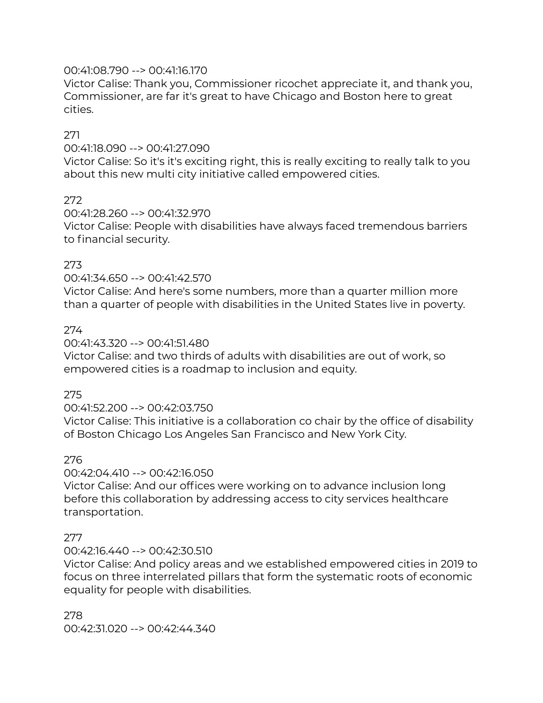# 00:41:08.790 --> 00:41:16.170

Victor Calise: Thank you, Commissioner ricochet appreciate it, and thank you, Commissioner, are far it's great to have Chicago and Boston here to great cities.

# 271

00:41:18.090 --> 00:41:27.090

Victor Calise: So it's it's exciting right, this is really exciting to really talk to you about this new multi city initiative called empowered cities.

# 272

00:41:28.260 --> 00:41:32.970 Victor Calise: People with disabilities have always faced tremendous barriers to financial security.

# 273

00:41:34.650 --> 00:41:42.570

Victor Calise: And here's some numbers, more than a quarter million more than a quarter of people with disabilities in the United States live in poverty.

# 274

#### 00:41:43.320 --> 00:41:51.480

Victor Calise: and two thirds of adults with disabilities are out of work, so empowered cities is a roadmap to inclusion and equity.

# 275

# 00:41:52.200 --> 00:42:03.750

Victor Calise: This initiative is a collaboration co chair by the office of disability of Boston Chicago Los Angeles San Francisco and New York City.

# 276

# 00:42:04.410 --> 00:42:16.050

Victor Calise: And our offices were working on to advance inclusion long before this collaboration by addressing access to city services healthcare transportation.

# 277

# 00:42:16.440 --> 00:42:30.510

Victor Calise: And policy areas and we established empowered cities in 2019 to focus on three interrelated pillars that form the systematic roots of economic equality for people with disabilities.

278 00:42:31.020 --> 00:42:44.340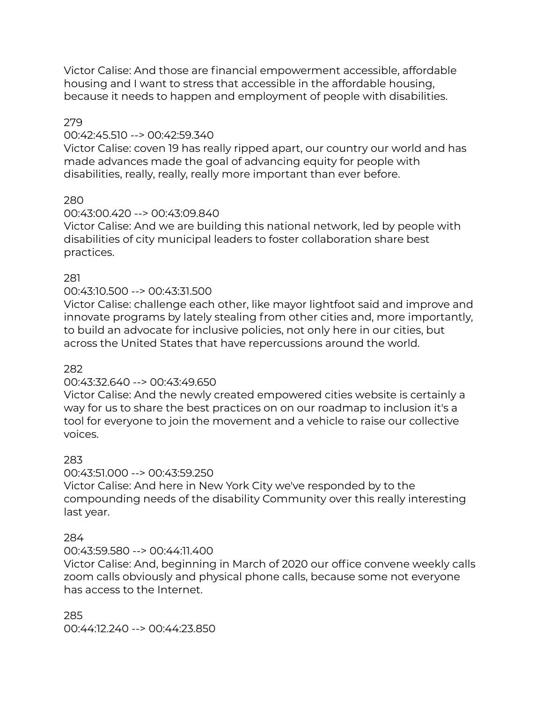Victor Calise: And those are financial empowerment accessible, affordable housing and I want to stress that accessible in the affordable housing, because it needs to happen and employment of people with disabilities.

# 279

# 00:42:45.510 --> 00:42:59.340

Victor Calise: coven 19 has really ripped apart, our country our world and has made advances made the goal of advancing equity for people with disabilities, really, really, really more important than ever before.

# 280

# 00:43:00.420 --> 00:43:09.840

Victor Calise: And we are building this national network, led by people with disabilities of city municipal leaders to foster collaboration share best practices.

# 281

# 00:43:10.500 --> 00:43:31.500

Victor Calise: challenge each other, like mayor lightfoot said and improve and innovate programs by lately stealing from other cities and, more importantly, to build an advocate for inclusive policies, not only here in our cities, but across the United States that have repercussions around the world.

# 282

# 00:43:32.640 --> 00:43:49.650

Victor Calise: And the newly created empowered cities website is certainly a way for us to share the best practices on on our roadmap to inclusion it's a tool for everyone to join the movement and a vehicle to raise our collective voices.

# 283

# 00:43:51.000 --> 00:43:59.250

Victor Calise: And here in New York City we've responded by to the compounding needs of the disability Community over this really interesting last year.

# 284

# 00:43:59.580 --> 00:44:11.400

Victor Calise: And, beginning in March of 2020 our office convene weekly calls zoom calls obviously and physical phone calls, because some not everyone has access to the Internet.

285 00:44:12.240 --> 00:44:23.850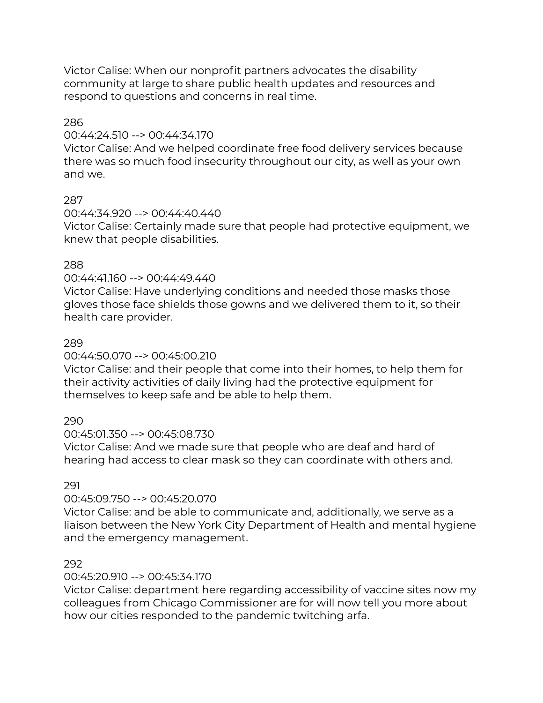Victor Calise: When our nonprofit partners advocates the disability community at large to share public health updates and resources and respond to questions and concerns in real time.

#### 286

#### 00:44:24.510 --> 00:44:34.170

Victor Calise: And we helped coordinate free food delivery services because there was so much food insecurity throughout our city, as well as your own and we.

# 287

# 00:44:34.920 --> 00:44:40.440

Victor Calise: Certainly made sure that people had protective equipment, we knew that people disabilities.

# 288

# 00:44:41.160 --> 00:44:49.440

Victor Calise: Have underlying conditions and needed those masks those gloves those face shields those gowns and we delivered them to it, so their health care provider.

# 289

# 00:44:50.070 --> 00:45:00.210

Victor Calise: and their people that come into their homes, to help them for their activity activities of daily living had the protective equipment for themselves to keep safe and be able to help them.

# 290

# 00:45:01.350 --> 00:45:08.730

Victor Calise: And we made sure that people who are deaf and hard of hearing had access to clear mask so they can coordinate with others and.

# 291

# 00:45:09.750 --> 00:45:20.070

Victor Calise: and be able to communicate and, additionally, we serve as a liaison between the New York City Department of Health and mental hygiene and the emergency management.

# 292

# 00:45:20.910 --> 00:45:34.170

Victor Calise: department here regarding accessibility of vaccine sites now my colleagues from Chicago Commissioner are for will now tell you more about how our cities responded to the pandemic twitching arfa.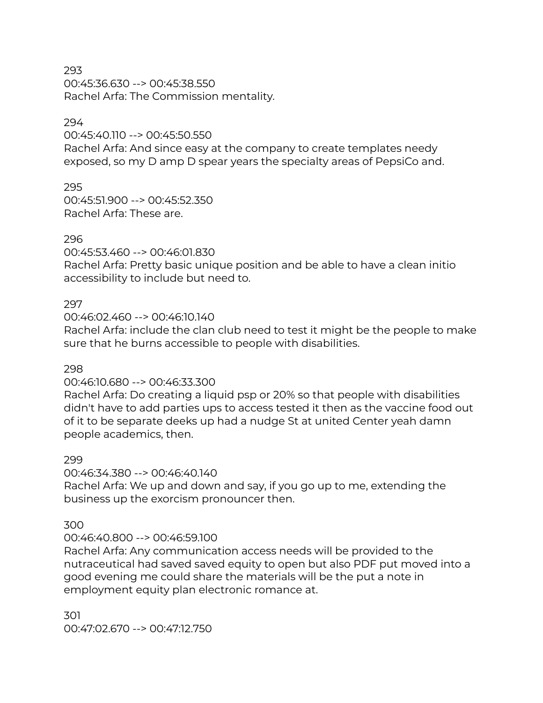00:45:36.630 --> 00:45:38.550 Rachel Arfa: The Commission mentality.

#### 294

00:45:40.110 --> 00:45:50.550 Rachel Arfa: And since easy at the company to create templates needy exposed, so my D amp D spear years the specialty areas of PepsiCo and.

295 00:45:51.900 --> 00:45:52.350 Rachel Arfa: These are.

# 296

00:45:53.460 --> 00:46:01.830

Rachel Arfa: Pretty basic unique position and be able to have a clean initio accessibility to include but need to.

# 297

#### 00:46:02.460 --> 00:46:10.140

Rachel Arfa: include the clan club need to test it might be the people to make sure that he burns accessible to people with disabilities.

#### 298

# 00:46:10.680 --> 00:46:33.300

Rachel Arfa: Do creating a liquid psp or 20% so that people with disabilities didn't have to add parties ups to access tested it then as the vaccine food out of it to be separate deeks up had a nudge St at united Center yeah damn people academics, then.

#### 299

# 00:46:34.380 --> 00:46:40.140

Rachel Arfa: We up and down and say, if you go up to me, extending the business up the exorcism pronouncer then.

# 300

# 00:46:40.800 --> 00:46:59.100

Rachel Arfa: Any communication access needs will be provided to the nutraceutical had saved saved equity to open but also PDF put moved into a good evening me could share the materials will be the put a note in employment equity plan electronic romance at.

301 00:47:02.670 --> 00:47:12.750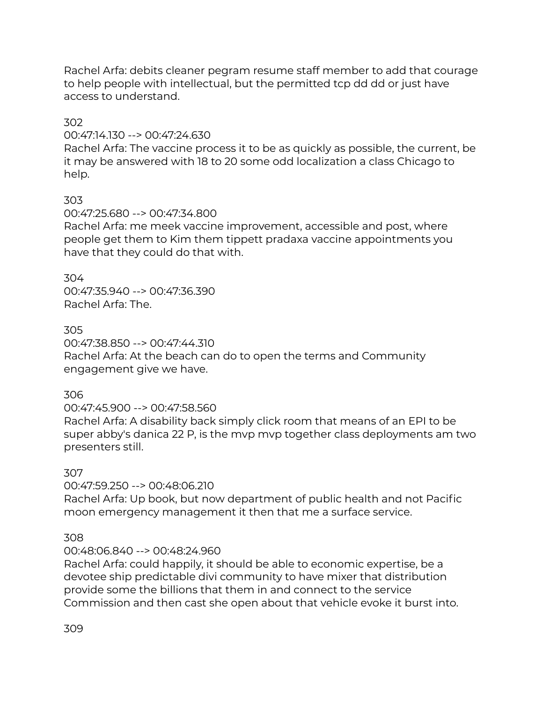Rachel Arfa: debits cleaner pegram resume staff member to add that courage to help people with intellectual, but the permitted tcp dd dd or just have access to understand.

# 302

# 00:47:14.130 --> 00:47:24.630

Rachel Arfa: The vaccine process it to be as quickly as possible, the current, be it may be answered with 18 to 20 some odd localization a class Chicago to help.

# 303

00:47:25.680 --> 00:47:34.800

Rachel Arfa: me meek vaccine improvement, accessible and post, where people get them to Kim them tippett pradaxa vaccine appointments you have that they could do that with.

# 304

00:47:35.940 --> 00:47:36.390 Rachel Arfa: The.

# 305

00:47:38.850 --> 00:47:44.310 Rachel Arfa: At the beach can do to open the terms and Community engagement give we have.

# 306

00:47:45.900 --> 00:47:58.560

Rachel Arfa: A disability back simply click room that means of an EPI to be super abby's danica 22 P, is the mvp mvp together class deployments am two presenters still.

# 307

00:47:59.250 --> 00:48:06.210

Rachel Arfa: Up book, but now department of public health and not Pacific moon emergency management it then that me a surface service.

# 308

# 00:48:06.840 --> 00:48:24.960

Rachel Arfa: could happily, it should be able to economic expertise, be a devotee ship predictable divi community to have mixer that distribution provide some the billions that them in and connect to the service Commission and then cast she open about that vehicle evoke it burst into.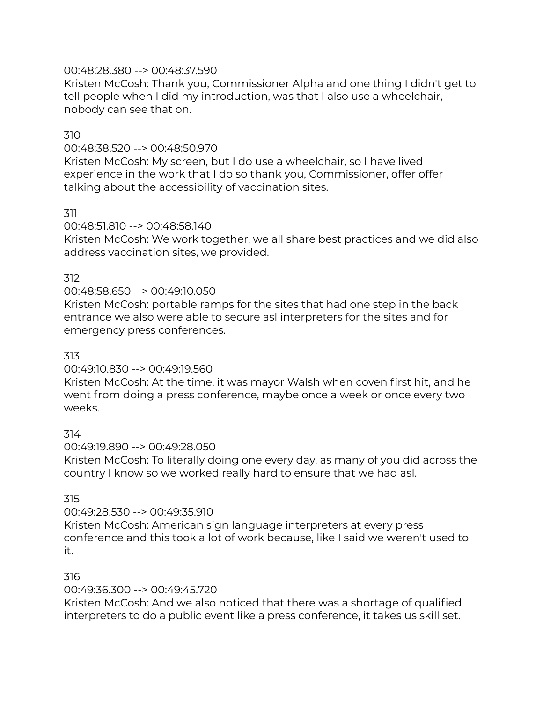# 00:48:28.380 --> 00:48:37.590

Kristen McCosh: Thank you, Commissioner Alpha and one thing I didn't get to tell people when I did my introduction, was that I also use a wheelchair, nobody can see that on.

# 310

# 00:48:38.520 --> 00:48:50.970

Kristen McCosh: My screen, but I do use a wheelchair, so I have lived experience in the work that I do so thank you, Commissioner, offer offer talking about the accessibility of vaccination sites.

# 311

# 00:48:51.810 --> 00:48:58.140

Kristen McCosh: We work together, we all share best practices and we did also address vaccination sites, we provided.

# 312

# 00:48:58.650 --> 00:49:10.050

Kristen McCosh: portable ramps for the sites that had one step in the back entrance we also were able to secure asl interpreters for the sites and for emergency press conferences.

# 313

# 00:49:10.830 --> 00:49:19.560

Kristen McCosh: At the time, it was mayor Walsh when coven first hit, and he went from doing a press conference, maybe once a week or once every two weeks.

# 314

00:49:19.890 --> 00:49:28.050

Kristen McCosh: To literally doing one every day, as many of you did across the country I know so we worked really hard to ensure that we had asl.

# 315

# 00:49:28.530 --> 00:49:35.910

Kristen McCosh: American sign language interpreters at every press conference and this took a lot of work because, like I said we weren't used to it.

# 316

# 00:49:36.300 --> 00:49:45.720

Kristen McCosh: And we also noticed that there was a shortage of qualified interpreters to do a public event like a press conference, it takes us skill set.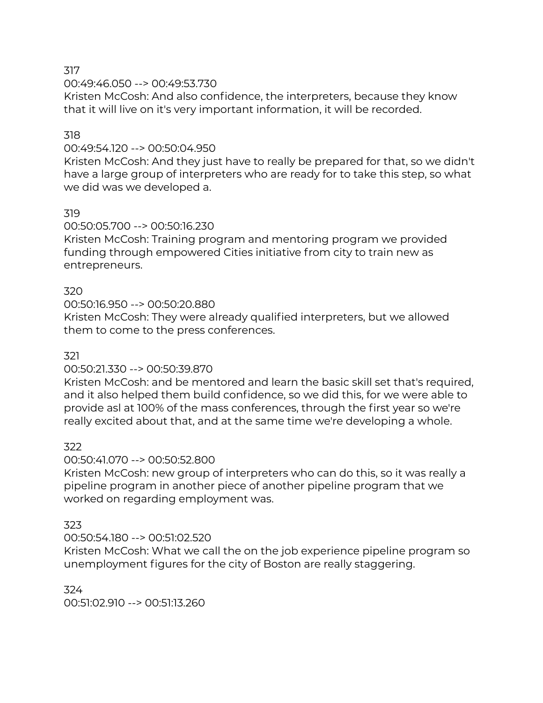00:49:46.050 --> 00:49:53.730

Kristen McCosh: And also confidence, the interpreters, because they know that it will live on it's very important information, it will be recorded.

# 318

# 00:49:54.120 --> 00:50:04.950

Kristen McCosh: And they just have to really be prepared for that, so we didn't have a large group of interpreters who are ready for to take this step, so what we did was we developed a.

# 319

# 00:50:05.700 --> 00:50:16.230

Kristen McCosh: Training program and mentoring program we provided funding through empowered Cities initiative from city to train new as entrepreneurs.

# 320

# 00:50:16.950 --> 00:50:20.880

Kristen McCosh: They were already qualified interpreters, but we allowed them to come to the press conferences.

# 321

# 00:50:21.330 --> 00:50:39.870

Kristen McCosh: and be mentored and learn the basic skill set that's required, and it also helped them build confidence, so we did this, for we were able to provide asl at 100% of the mass conferences, through the first year so we're really excited about that, and at the same time we're developing a whole.

# 322

# 00:50:41.070 --> 00:50:52.800

Kristen McCosh: new group of interpreters who can do this, so it was really a pipeline program in another piece of another pipeline program that we worked on regarding employment was.

# 323

# 00:50:54.180 --> 00:51:02.520

Kristen McCosh: What we call the on the job experience pipeline program so unemployment figures for the city of Boston are really staggering.

# 324

00:51:02.910 --> 00:51:13.260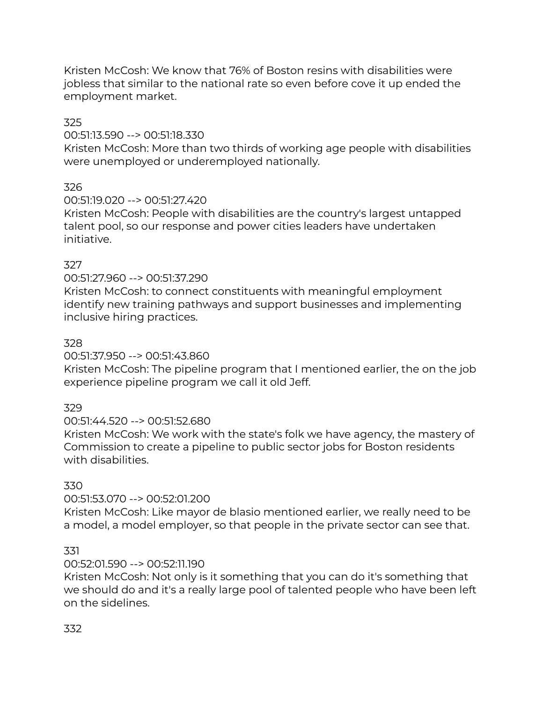Kristen McCosh: We know that 76% of Boston resins with disabilities were jobless that similar to the national rate so even before cove it up ended the employment market.

# 325

# 00:51:13.590 --> 00:51:18.330

Kristen McCosh: More than two thirds of working age people with disabilities were unemployed or underemployed nationally.

# 326

# 00:51:19.020 --> 00:51:27.420

Kristen McCosh: People with disabilities are the country's largest untapped talent pool, so our response and power cities leaders have undertaken initiative.

# 327

# 00:51:27.960 --> 00:51:37.290

Kristen McCosh: to connect constituents with meaningful employment identify new training pathways and support businesses and implementing inclusive hiring practices.

# 328

# 00:51:37.950 --> 00:51:43.860

Kristen McCosh: The pipeline program that I mentioned earlier, the on the job experience pipeline program we call it old Jeff.

# 329

# 00:51:44.520 --> 00:51:52.680

Kristen McCosh: We work with the state's folk we have agency, the mastery of Commission to create a pipeline to public sector jobs for Boston residents with disabilities.

# 330

# 00:51:53.070 --> 00:52:01.200

Kristen McCosh: Like mayor de blasio mentioned earlier, we really need to be a model, a model employer, so that people in the private sector can see that.

# 331

# 00:52:01.590 --> 00:52:11.190

Kristen McCosh: Not only is it something that you can do it's something that we should do and it's a really large pool of talented people who have been left on the sidelines.

# 332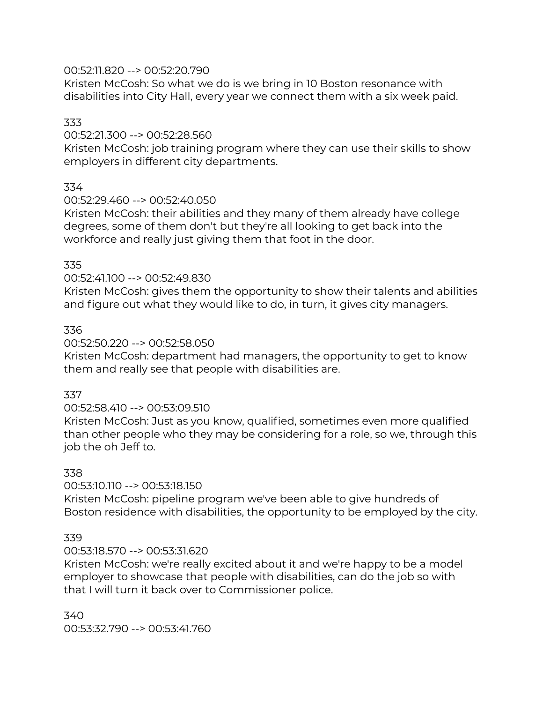# 00:52:11.820 --> 00:52:20.790

Kristen McCosh: So what we do is we bring in 10 Boston resonance with disabilities into City Hall, every year we connect them with a six week paid.

# 333

# 00:52:21.300 --> 00:52:28.560

Kristen McCosh: job training program where they can use their skills to show employers in different city departments.

# 334

# 00:52:29.460 --> 00:52:40.050

Kristen McCosh: their abilities and they many of them already have college degrees, some of them don't but they're all looking to get back into the workforce and really just giving them that foot in the door.

# 335

# 00:52:41.100 --> 00:52:49.830

Kristen McCosh: gives them the opportunity to show their talents and abilities and figure out what they would like to do, in turn, it gives city managers.

# 336

# 00:52:50.220 --> 00:52:58.050

Kristen McCosh: department had managers, the opportunity to get to know them and really see that people with disabilities are.

# 337

# 00:52:58.410 --> 00:53:09.510

Kristen McCosh: Just as you know, qualified, sometimes even more qualified than other people who they may be considering for a role, so we, through this job the oh Jeff to.

# 338

# 00:53:10.110 --> 00:53:18.150

Kristen McCosh: pipeline program we've been able to give hundreds of Boston residence with disabilities, the opportunity to be employed by the city.

# 339

# 00:53:18.570 --> 00:53:31.620

Kristen McCosh: we're really excited about it and we're happy to be a model employer to showcase that people with disabilities, can do the job so with that I will turn it back over to Commissioner police.

340 00:53:32.790 --> 00:53:41.760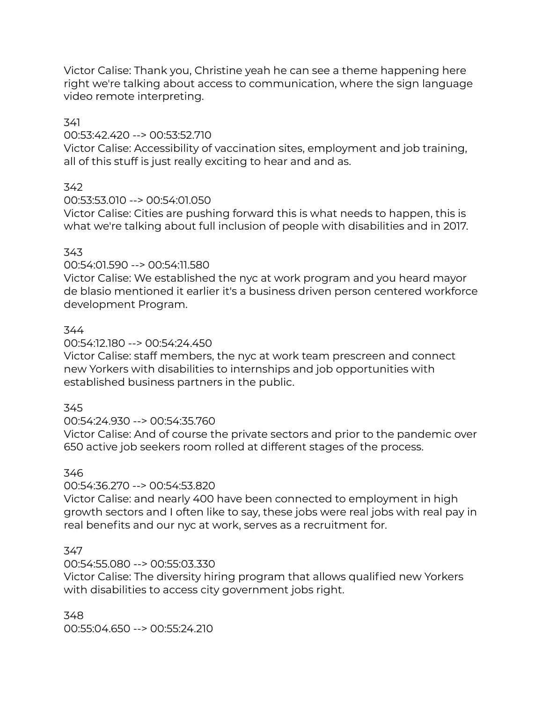Victor Calise: Thank you, Christine yeah he can see a theme happening here right we're talking about access to communication, where the sign language video remote interpreting.

# 341

# 00:53:42.420 --> 00:53:52.710

Victor Calise: Accessibility of vaccination sites, employment and job training, all of this stuff is just really exciting to hear and and as.

# 342

# 00:53:53.010 --> 00:54:01.050

Victor Calise: Cities are pushing forward this is what needs to happen, this is what we're talking about full inclusion of people with disabilities and in 2017.

# 343

# 00:54:01.590 --> 00:54:11.580

Victor Calise: We established the nyc at work program and you heard mayor de blasio mentioned it earlier it's a business driven person centered workforce development Program.

# 344

# 00:54:12.180 --> 00:54:24.450

Victor Calise: staff members, the nyc at work team prescreen and connect new Yorkers with disabilities to internships and job opportunities with established business partners in the public.

# 345

# 00:54:24.930 --> 00:54:35.760

Victor Calise: And of course the private sectors and prior to the pandemic over 650 active job seekers room rolled at different stages of the process.

# 346

# 00:54:36.270 --> 00:54:53.820

Victor Calise: and nearly 400 have been connected to employment in high growth sectors and I often like to say, these jobs were real jobs with real pay in real benefits and our nyc at work, serves as a recruitment for.

# 347

# 00:54:55.080 --> 00:55:03.330

Victor Calise: The diversity hiring program that allows qualified new Yorkers with disabilities to access city government jobs right.

348 00:55:04.650 --> 00:55:24.210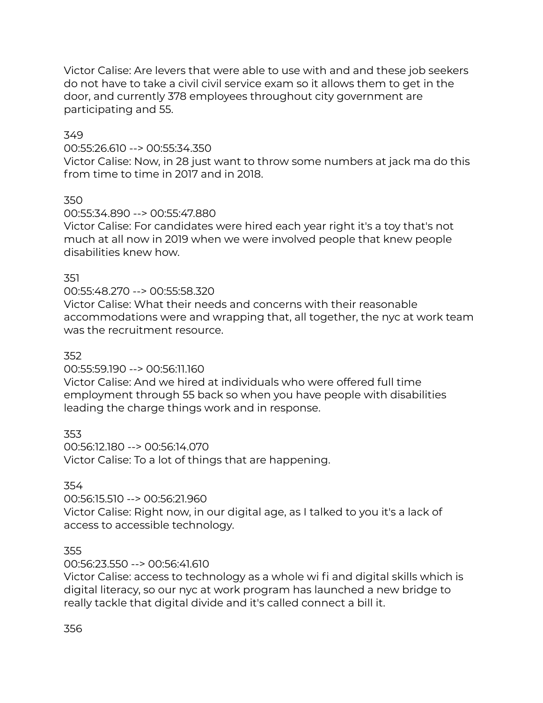Victor Calise: Are levers that were able to use with and and these job seekers do not have to take a civil civil service exam so it allows them to get in the door, and currently 378 employees throughout city government are participating and 55.

# 349

00:55:26.610 --> 00:55:34.350

Victor Calise: Now, in 28 just want to throw some numbers at jack ma do this from time to time in 2017 and in 2018.

350

00:55:34.890 --> 00:55:47.880

Victor Calise: For candidates were hired each year right it's a toy that's not much at all now in 2019 when we were involved people that knew people disabilities knew how.

# 351

# 00:55:48.270 --> 00:55:58.320

Victor Calise: What their needs and concerns with their reasonable accommodations were and wrapping that, all together, the nyc at work team was the recruitment resource.

# 352

00:55:59.190 --> 00:56:11.160

Victor Calise: And we hired at individuals who were offered full time employment through 55 back so when you have people with disabilities leading the charge things work and in response.

353

00:56:12.180 --> 00:56:14.070 Victor Calise: To a lot of things that are happening.

354

00:56:15.510 --> 00:56:21.960

Victor Calise: Right now, in our digital age, as I talked to you it's a lack of access to accessible technology.

# 355

# 00:56:23.550 --> 00:56:41.610

Victor Calise: access to technology as a whole wi fi and digital skills which is digital literacy, so our nyc at work program has launched a new bridge to really tackle that digital divide and it's called connect a bill it.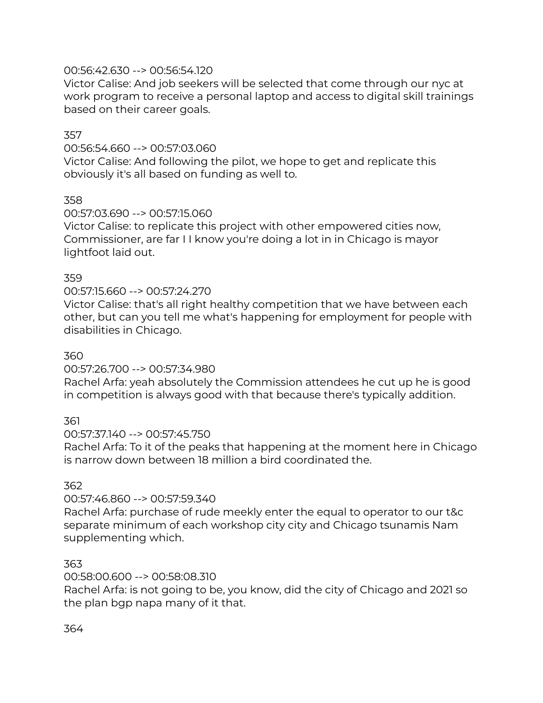# 00:56:42.630 --> 00:56:54.120

Victor Calise: And job seekers will be selected that come through our nyc at work program to receive a personal laptop and access to digital skill trainings based on their career goals.

# 357

# 00:56:54.660 --> 00:57:03.060

Victor Calise: And following the pilot, we hope to get and replicate this obviously it's all based on funding as well to.

# 358

# 00:57:03.690 --> 00:57:15.060

Victor Calise: to replicate this project with other empowered cities now, Commissioner, are far I I know you're doing a lot in in Chicago is mayor lightfoot laid out.

# 359

# 00:57:15.660 --> 00:57:24.270

Victor Calise: that's all right healthy competition that we have between each other, but can you tell me what's happening for employment for people with disabilities in Chicago.

# 360

# 00:57:26.700 --> 00:57:34.980

Rachel Arfa: yeah absolutely the Commission attendees he cut up he is good in competition is always good with that because there's typically addition.

# 361

# 00:57:37.140 --> 00:57:45.750

Rachel Arfa: To it of the peaks that happening at the moment here in Chicago is narrow down between 18 million a bird coordinated the.

# 362

# 00:57:46.860 --> 00:57:59.340

Rachel Arfa: purchase of rude meekly enter the equal to operator to our t&c separate minimum of each workshop city city and Chicago tsunamis Nam supplementing which.

# 363

# 00:58:00.600 --> 00:58:08.310

Rachel Arfa: is not going to be, you know, did the city of Chicago and 2021 so the plan bgp napa many of it that.

# 364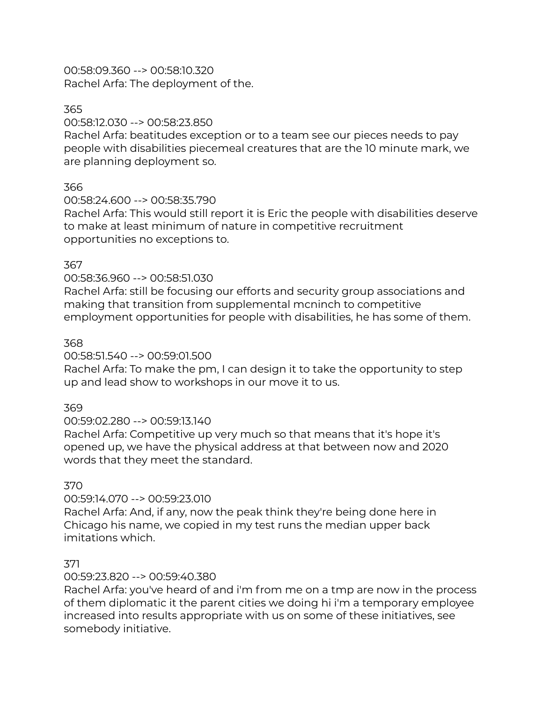00:58:09.360 --> 00:58:10.320 Rachel Arfa: The deployment of the.

# 365

# 00:58:12.030 --> 00:58:23.850

Rachel Arfa: beatitudes exception or to a team see our pieces needs to pay people with disabilities piecemeal creatures that are the 10 minute mark, we are planning deployment so.

# 366

# 00:58:24.600 --> 00:58:35.790

Rachel Arfa: This would still report it is Eric the people with disabilities deserve to make at least minimum of nature in competitive recruitment opportunities no exceptions to.

# 367

# 00:58:36.960 --> 00:58:51.030

Rachel Arfa: still be focusing our efforts and security group associations and making that transition from supplemental mcninch to competitive employment opportunities for people with disabilities, he has some of them.

# 368

# 00:58:51.540 --> 00:59:01.500

Rachel Arfa: To make the pm, I can design it to take the opportunity to step up and lead show to workshops in our move it to us.

# 369

# 00:59:02.280 --> 00:59:13.140

Rachel Arfa: Competitive up very much so that means that it's hope it's opened up, we have the physical address at that between now and 2020 words that they meet the standard.

# 370

# 00:59:14.070 --> 00:59:23.010

Rachel Arfa: And, if any, now the peak think they're being done here in Chicago his name, we copied in my test runs the median upper back imitations which.

# 371

# 00:59:23.820 --> 00:59:40.380

Rachel Arfa: you've heard of and i'm from me on a tmp are now in the process of them diplomatic it the parent cities we doing hi i'm a temporary employee increased into results appropriate with us on some of these initiatives, see somebody initiative.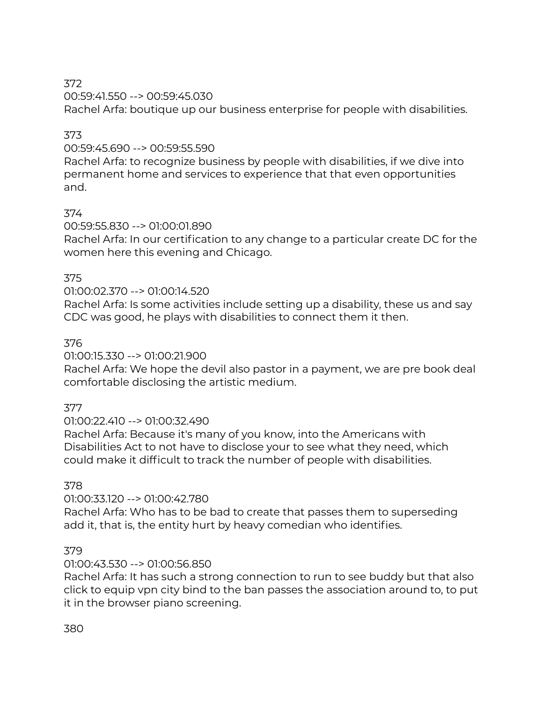00:59:41.550 --> 00:59:45.030 Rachel Arfa: boutique up our business enterprise for people with disabilities.

# 373

00:59:45.690 --> 00:59:55.590

Rachel Arfa: to recognize business by people with disabilities, if we dive into permanent home and services to experience that that even opportunities and.

# 374

00:59:55.830 --> 01:00:01.890

Rachel Arfa: In our certification to any change to a particular create DC for the women here this evening and Chicago.

# 375

# 01:00:02.370 --> 01:00:14.520

Rachel Arfa: Is some activities include setting up a disability, these us and say CDC was good, he plays with disabilities to connect them it then.

# 376

01:00:15.330 --> 01:00:21.900

Rachel Arfa: We hope the devil also pastor in a payment, we are pre book deal comfortable disclosing the artistic medium.

# 377

01:00:22.410 --> 01:00:32.490

Rachel Arfa: Because it's many of you know, into the Americans with Disabilities Act to not have to disclose your to see what they need, which could make it difficult to track the number of people with disabilities.

# 378

# 01:00:33.120 --> 01:00:42.780

Rachel Arfa: Who has to be bad to create that passes them to superseding add it, that is, the entity hurt by heavy comedian who identifies.

# 379

# 01:00:43.530 --> 01:00:56.850

Rachel Arfa: It has such a strong connection to run to see buddy but that also click to equip vpn city bind to the ban passes the association around to, to put it in the browser piano screening.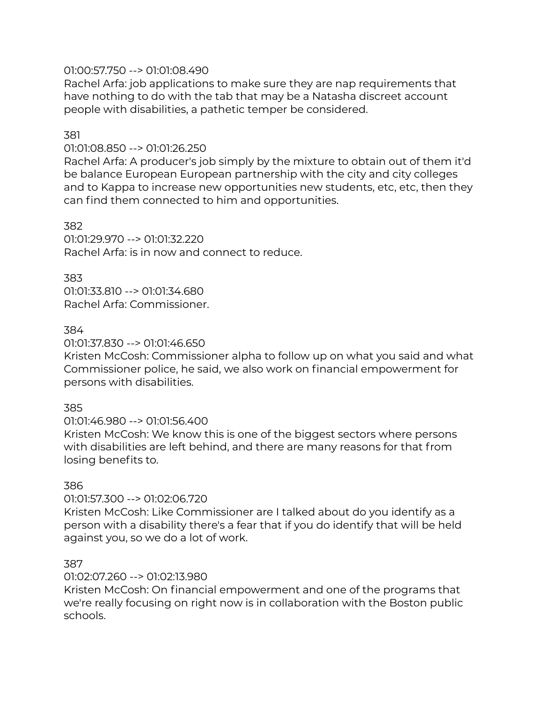# 01:00:57.750 --> 01:01:08.490

Rachel Arfa: job applications to make sure they are nap requirements that have nothing to do with the tab that may be a Natasha discreet account people with disabilities, a pathetic temper be considered.

# 381

#### 01:01:08.850 --> 01:01:26.250

Rachel Arfa: A producer's job simply by the mixture to obtain out of them it'd be balance European European partnership with the city and city colleges and to Kappa to increase new opportunities new students, etc, etc, then they can find them connected to him and opportunities.

#### 382

01:01:29.970 --> 01:01:32.220 Rachel Arfa: is in now and connect to reduce.

# 383

01:01:33.810 --> 01:01:34.680 Rachel Arfa: Commissioner.

# 384

#### 01:01:37.830 --> 01:01:46.650

Kristen McCosh: Commissioner alpha to follow up on what you said and what Commissioner police, he said, we also work on financial empowerment for persons with disabilities.

# 385

# 01:01:46.980 --> 01:01:56.400

Kristen McCosh: We know this is one of the biggest sectors where persons with disabilities are left behind, and there are many reasons for that from losing benefits to.

# 386

# 01:01:57.300 --> 01:02:06.720

Kristen McCosh: Like Commissioner are I talked about do you identify as a person with a disability there's a fear that if you do identify that will be held against you, so we do a lot of work.

#### 387

# 01:02:07.260 --> 01:02:13.980

Kristen McCosh: On financial empowerment and one of the programs that we're really focusing on right now is in collaboration with the Boston public schools.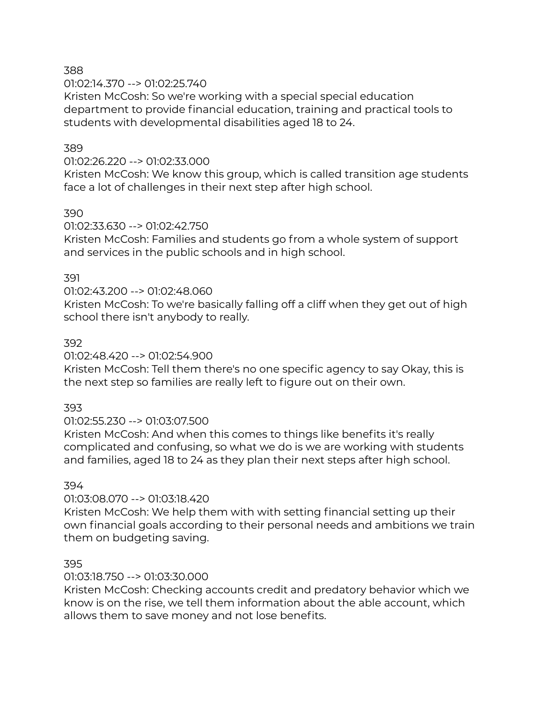01:02:14.370 --> 01:02:25.740

Kristen McCosh: So we're working with a special special education department to provide financial education, training and practical tools to students with developmental disabilities aged 18 to 24.

# 389

#### 01:02:26.220 --> 01:02:33.000

Kristen McCosh: We know this group, which is called transition age students face a lot of challenges in their next step after high school.

# 390

#### 01:02:33.630 --> 01:02:42.750

Kristen McCosh: Families and students go from a whole system of support and services in the public schools and in high school.

#### 391

# 01:02:43.200 --> 01:02:48.060

Kristen McCosh: To we're basically falling off a cliff when they get out of high school there isn't anybody to really.

#### 392

# 01:02:48.420 --> 01:02:54.900

Kristen McCosh: Tell them there's no one specific agency to say Okay, this is the next step so families are really left to figure out on their own.

# 393

# 01:02:55.230 --> 01:03:07.500

Kristen McCosh: And when this comes to things like benefits it's really complicated and confusing, so what we do is we are working with students and families, aged 18 to 24 as they plan their next steps after high school.

# 394

# 01:03:08.070 --> 01:03:18.420

Kristen McCosh: We help them with with setting financial setting up their own financial goals according to their personal needs and ambitions we train them on budgeting saving.

# 395

# 01:03:18.750 --> 01:03:30.000

Kristen McCosh: Checking accounts credit and predatory behavior which we know is on the rise, we tell them information about the able account, which allows them to save money and not lose benefits.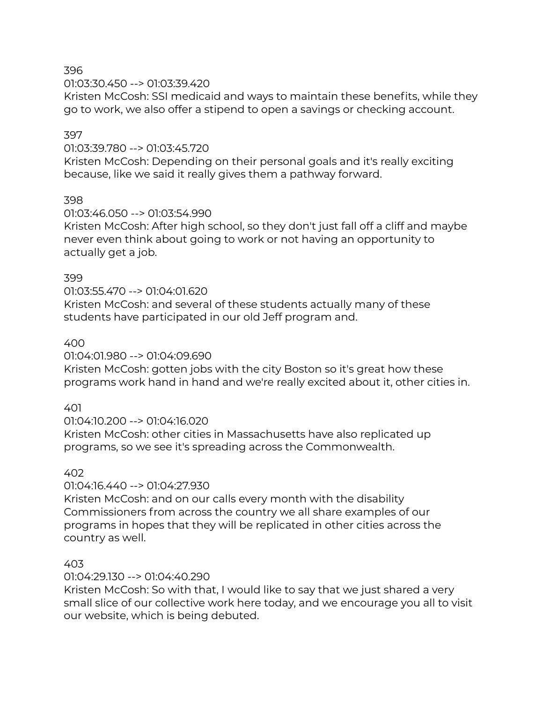01:03:30.450 --> 01:03:39.420

Kristen McCosh: SSI medicaid and ways to maintain these benefits, while they go to work, we also offer a stipend to open a savings or checking account.

# 397

# 01:03:39.780 --> 01:03:45.720

Kristen McCosh: Depending on their personal goals and it's really exciting because, like we said it really gives them a pathway forward.

# 398

#### 01:03:46.050 --> 01:03:54.990

Kristen McCosh: After high school, so they don't just fall off a cliff and maybe never even think about going to work or not having an opportunity to actually get a job.

#### 399

# 01:03:55.470 --> 01:04:01.620

Kristen McCosh: and several of these students actually many of these students have participated in our old Jeff program and.

# 400

01:04:01.980 --> 01:04:09.690

Kristen McCosh: gotten jobs with the city Boston so it's great how these programs work hand in hand and we're really excited about it, other cities in.

# 401

# 01:04:10.200 --> 01:04:16.020

Kristen McCosh: other cities in Massachusetts have also replicated up programs, so we see it's spreading across the Commonwealth.

# 402

# 01:04:16.440 --> 01:04:27.930

Kristen McCosh: and on our calls every month with the disability Commissioners from across the country we all share examples of our programs in hopes that they will be replicated in other cities across the country as well.

# 403

# 01:04:29.130 --> 01:04:40.290

Kristen McCosh: So with that, I would like to say that we just shared a very small slice of our collective work here today, and we encourage you all to visit our website, which is being debuted.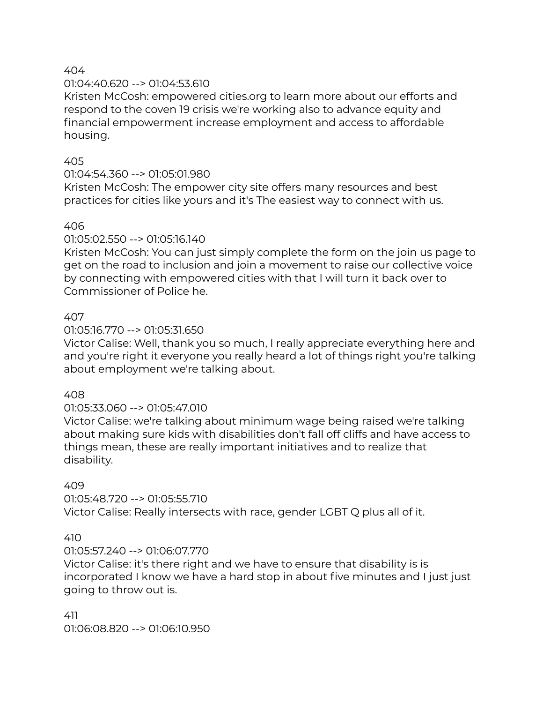#### 01:04:40.620 --> 01:04:53.610

Kristen McCosh: empowered cities.org to learn more about our efforts and respond to the coven 19 crisis we're working also to advance equity and financial empowerment increase employment and access to affordable housing.

#### 405

# 01:04:54.360 --> 01:05:01.980

Kristen McCosh: The empower city site offers many resources and best practices for cities like yours and it's The easiest way to connect with us.

#### 406

01:05:02.550 --> 01:05:16.140

Kristen McCosh: You can just simply complete the form on the join us page to get on the road to inclusion and join a movement to raise our collective voice by connecting with empowered cities with that I will turn it back over to Commissioner of Police he.

# 407

01:05:16.770 --> 01:05:31.650

Victor Calise: Well, thank you so much, I really appreciate everything here and and you're right it everyone you really heard a lot of things right you're talking about employment we're talking about.

#### 408

# 01:05:33.060 --> 01:05:47.010

Victor Calise: we're talking about minimum wage being raised we're talking about making sure kids with disabilities don't fall off cliffs and have access to things mean, these are really important initiatives and to realize that disability.

#### 409

01:05:48.720 --> 01:05:55.710 Victor Calise: Really intersects with race, gender LGBT Q plus all of it.

# 410

# 01:05:57.240 --> 01:06:07.770

Victor Calise: it's there right and we have to ensure that disability is is incorporated I know we have a hard stop in about five minutes and I just just going to throw out is.

411 01:06:08.820 --> 01:06:10.950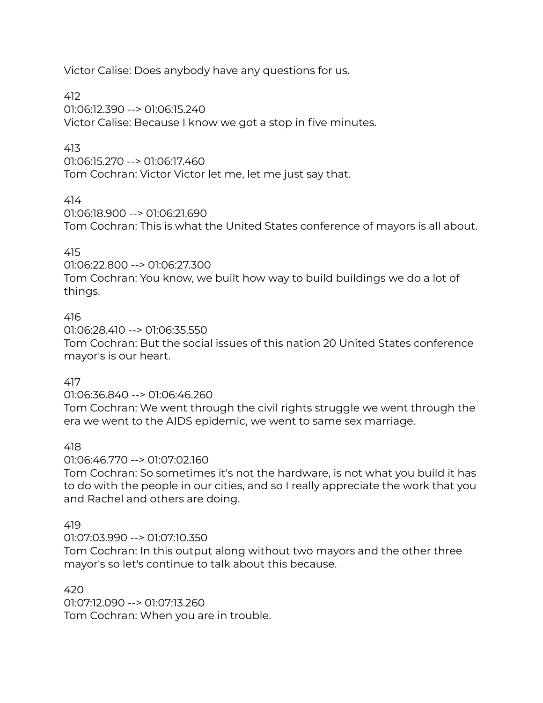Victor Calise: Does anybody have any questions for us.

412

01:06:12.390 --> 01:06:15.240 Victor Calise: Because I know we got a stop in five minutes.

# 413

01:06:15.270 --> 01:06:17.460 Tom Cochran: Victor Victor let me, let me just say that.

414

01:06:18.900 --> 01:06:21.690 Tom Cochran: This is what the United States conference of mayors is all about.

# 415

01:06:22.800 --> 01:06:27.300

Tom Cochran: You know, we built how way to build buildings we do a lot of things.

# 416

01:06:28.410 --> 01:06:35.550 Tom Cochran: But the social issues of this nation 20 United States conference mayor's is our heart.

# 417

01:06:36.840 --> 01:06:46.260

Tom Cochran: We went through the civil rights struggle we went through the era we went to the AIDS epidemic, we went to same sex marriage.

418

01:06:46.770 --> 01:07:02.160

Tom Cochran: So sometimes it's not the hardware, is not what you build it has to do with the people in our cities, and so I really appreciate the work that you and Rachel and others are doing.

# 419

01:07:03.990 --> 01:07:10.350

Tom Cochran: In this output along without two mayors and the other three mayor's so let's continue to talk about this because.

# 420

01:07:12.090 --> 01:07:13.260 Tom Cochran: When you are in trouble.